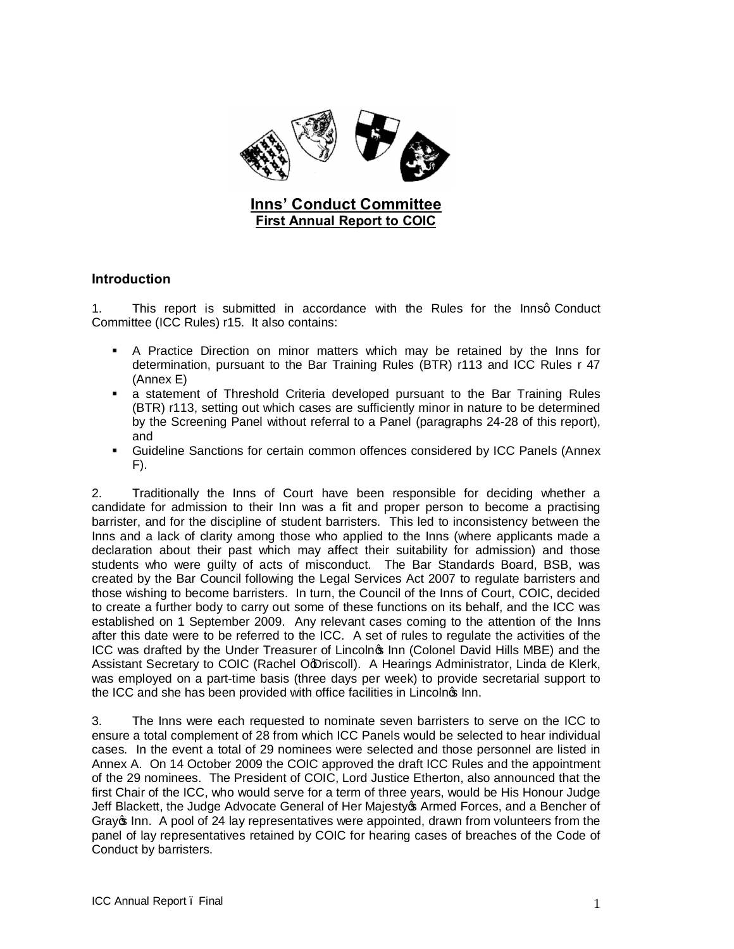

## **Introduction**

1. This report is submitted in accordance with the Rules for the Innsq Conduct Committee (ICC Rules) r15. It also contains:

- ß A Practice Direction on minor matters which may be retained by the Inns for determination, pursuant to the Bar Training Rules (BTR) r113 and ICC Rules r 47 (Annex E)
- **a** statement of Threshold Criteria developed pursuant to the Bar Training Rules (BTR) r113, setting out which cases are sufficiently minor in nature to be determined by the Screening Panel without referral to a Panel (paragraphs 24-28 of this report), and
- **Guideline Sanctions for certain common offences considered by ICC Panels (Annex** F).

2. Traditionally the Inns of Court have been responsible for deciding whether a candidate for admission to their Inn was a fit and proper person to become a practising barrister, and for the discipline of student barristers. This led to inconsistency between the Inns and a lack of clarity among those who applied to the Inns (where applicants made a declaration about their past which may affect their suitability for admission) and those students who were guilty of acts of misconduct. The Bar Standards Board, BSB, was created by the Bar Council following the Legal Services Act 2007 to regulate barristers and those wishing to become barristers. In turn, the Council of the Inns of Court, COIC, decided to create a further body to carry out some of these functions on its behalf, and the ICC was established on 1 September 2009. Any relevant cases coming to the attention of the Inns after this date were to be referred to the ICC. A set of rules to regulate the activities of the ICC was drafted by the Under Treasurer of Lincolnos Inn (Colonel David Hills MBE) and the Assistant Secretary to COIC (Rachel Od Driscoll). A Hearings Administrator, Linda de Klerk, was employed on a part-time basis (three days per week) to provide secretarial support to the ICC and she has been provided with office facilities in Lincolnos Inn.

3. The Inns were each requested to nominate seven barristers to serve on the ICC to ensure a total complement of 28 from which ICC Panels would be selected to hear individual cases. In the event a total of 29 nominees were selected and those personnel are listed in Annex A. On 14 October 2009 the COIC approved the draft ICC Rules and the appointment of the 29 nominees. The President of COIC, Lord Justice Etherton, also announced that the first Chair of the ICC, who would serve for a term of three years, would be His Honour Judge Jeff Blackett, the Judge Advocate General of Her Majestyos Armed Forces, and a Bencher of Gray on Inn. A pool of 24 lay representatives were appointed, drawn from volunteers from the panel of lay representatives retained by COIC for hearing cases of breaches of the Code of Conduct by barristers.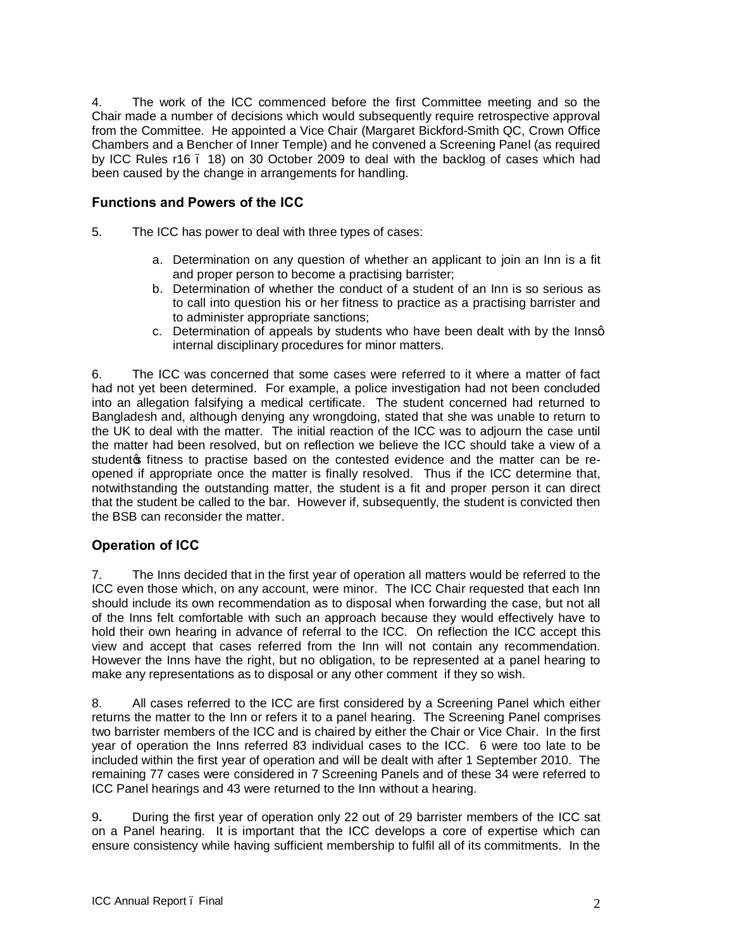4. The work of the ICC commenced before the first Committee meeting and so the Chair made a number of decisions which would subsequently require retrospective approval from the Committee. He appointed a Vice Chair (Margaret Bickford-Smith QC, Crown Office Chambers and a Bencher of Inner Temple) and he convened a Screening Panel (as required by ICC Rules r16 – 18) on 30 October 2009 to deal with the backlog of cases which had been caused by the change in arrangements for handling.

## **Functions and Powers of the ICC**

- 5. The ICC has power to deal with three types of cases:
	- a. Determination on any question of whether an applicant to join an Inn is a fit and proper person to become a practising barrister;
	- b. Determination of whether the conduct of a student of an Inn is so serious as to call into question his or her fitness to practice as a practising barrister and to administer appropriate sanctions;
	- c. Determination of appeals by students who have been dealt with by the Innsg internal disciplinary procedures for minor matters.

6. The ICC was concerned that some cases were referred to it where a matter of fact had not yet been determined. For example, a police investigation had not been concluded into an allegation falsifying a medical certificate. The student concerned had returned to Bangladesh and, although denying any wrongdoing, stated that she was unable to return to the UK to deal with the matter. The initial reaction of the ICC was to adjourn the case until the matter had been resolved, but on reflection we believe the ICC should take a view of a studento fitness to practise based on the contested evidence and the matter can be reopened if appropriate once the matter is finally resolved. Thus if the ICC determine that, notwithstanding the outstanding matter, the student is a fit and proper person it can direct that the student be called to the bar. However if, subsequently, the student is convicted then the BSB can reconsider the matter.

## **Operation of ICC**

7. The Inns decided that in the first year of operation all matters would be referred to the ICC even those which, on any account, were minor. The ICC Chair requested that each Inn should include its own recommendation as to disposal when forwarding the case, but not all of the Inns felt comfortable with such an approach because they would effectively have to hold their own hearing in advance of referral to the ICC. On reflection the ICC accept this view and accept that cases referred from the Inn will not contain any recommendation. However the Inns have the right, but no obligation, to be represented at a panel hearing to make any representations as to disposal or any other comment if they so wish.

8. All cases referred to the ICC are first considered by a Screening Panel which either returns the matter to the Inn or refers it to a panel hearing. The Screening Panel comprises two barrister members of the ICC and is chaired by either the Chair or Vice Chair. In the first year of operation the Inns referred 83 individual cases to the ICC. 6 were too late to be included within the first year of operation and will be dealt with after 1 September 2010. The remaining 77 cases were considered in 7 Screening Panels and of these 34 were referred to ICC Panel hearings and 43 were returned to the Inn without a hearing.

9**.** During the first year of operation only 22 out of 29 barrister members of the ICC sat on a Panel hearing. It is important that the ICC develops a core of expertise which can ensure consistency while having sufficient membership to fulfil all of its commitments. In the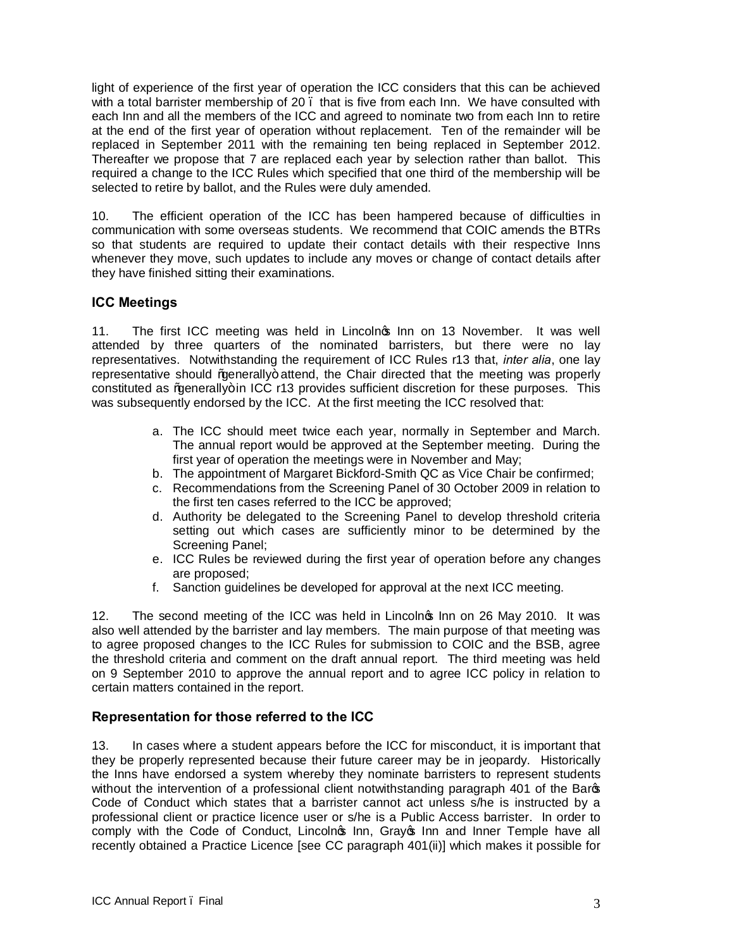light of experience of the first year of operation the ICC considers that this can be achieved with a total barrister membership of 20. that is five from each Inn. We have consulted with each Inn and all the members of the ICC and agreed to nominate two from each Inn to retire at the end of the first year of operation without replacement. Ten of the remainder will be replaced in September 2011 with the remaining ten being replaced in September 2012. Thereafter we propose that 7 are replaced each year by selection rather than ballot. This required a change to the ICC Rules which specified that one third of the membership will be selected to retire by ballot, and the Rules were duly amended.

10. The efficient operation of the ICC has been hampered because of difficulties in communication with some overseas students. We recommend that COIC amends the BTRs so that students are required to update their contact details with their respective Inns whenever they move, such updates to include any moves or change of contact details after they have finished sitting their examinations.

## **ICC Meetings**

11. The first ICC meeting was held in Lincolnos Inn on 13 November. It was well attended by three quarters of the nominated barristers, but there were no lay representatives. Notwithstanding the requirement of ICC Rules r13 that, *inter alia*, one lay representative should %generally+ attend, the Chair directed that the meeting was properly constituted as % penerally+ in ICC r13 provides sufficient discretion for these purposes. This was subsequently endorsed by the ICC. At the first meeting the ICC resolved that:

- a. The ICC should meet twice each year, normally in September and March. The annual report would be approved at the September meeting. During the first year of operation the meetings were in November and May;
- b. The appointment of Margaret Bickford-Smith QC as Vice Chair be confirmed;
- c. Recommendations from the Screening Panel of 30 October 2009 in relation to the first ten cases referred to the ICC be approved;
- d. Authority be delegated to the Screening Panel to develop threshold criteria setting out which cases are sufficiently minor to be determined by the Screening Panel;
- e. ICC Rules be reviewed during the first year of operation before any changes are proposed;
- f. Sanction guidelines be developed for approval at the next ICC meeting.

12. The second meeting of the ICC was held in Lincolnos Inn on 26 May 2010. It was also well attended by the barrister and lay members. The main purpose of that meeting was to agree proposed changes to the ICC Rules for submission to COIC and the BSB, agree the threshold criteria and comment on the draft annual report. The third meeting was held on 9 September 2010 to approve the annual report and to agree ICC policy in relation to certain matters contained in the report.

## **Representation for those referred to the ICC**

13. In cases where a student appears before the ICC for misconduct, it is important that they be properly represented because their future career may be in jeopardy. Historically the Inns have endorsed a system whereby they nominate barristers to represent students without the intervention of a professional client notwithstanding paragraph 401 of the Bargs Code of Conduct which states that a barrister cannot act unless s/he is instructed by a professional client or practice licence user or s/he is a Public Access barrister. In order to comply with the Code of Conduct, Lincolnos Inn, Grayos Inn and Inner Temple have all recently obtained a Practice Licence [see CC paragraph 401(ii)] which makes it possible for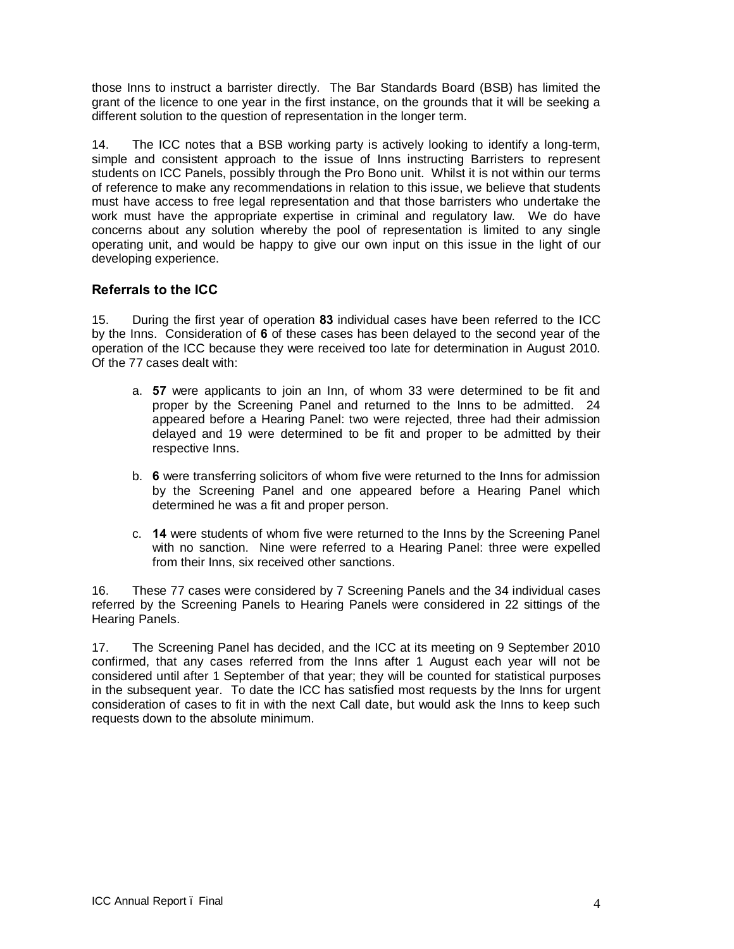those Inns to instruct a barrister directly. The Bar Standards Board (BSB) has limited the grant of the licence to one year in the first instance, on the grounds that it will be seeking a different solution to the question of representation in the longer term.

14. The ICC notes that a BSB working party is actively looking to identify a long-term, simple and consistent approach to the issue of Inns instructing Barristers to represent students on ICC Panels, possibly through the Pro Bono unit. Whilst it is not within our terms of reference to make any recommendations in relation to this issue, we believe that students must have access to free legal representation and that those barristers who undertake the work must have the appropriate expertise in criminal and regulatory law. We do have concerns about any solution whereby the pool of representation is limited to any single operating unit, and would be happy to give our own input on this issue in the light of our developing experience.

## **Referrals to the ICC**

15. During the first year of operation **83** individual cases have been referred to the ICC by the Inns. Consideration of **6** of these cases has been delayed to the second year of the operation of the ICC because they were received too late for determination in August 2010. Of the 77 cases dealt with:

- a. **57** were applicants to join an Inn, of whom 33 were determined to be fit and proper by the Screening Panel and returned to the Inns to be admitted. 24 appeared before a Hearing Panel: two were rejected, three had their admission delayed and 19 were determined to be fit and proper to be admitted by their respective Inns.
- b. **6** were transferring solicitors of whom five were returned to the Inns for admission by the Screening Panel and one appeared before a Hearing Panel which determined he was a fit and proper person.
- c. **14** were students of whom five were returned to the Inns by the Screening Panel with no sanction. Nine were referred to a Hearing Panel: three were expelled from their Inns, six received other sanctions.

16. These 77 cases were considered by 7 Screening Panels and the 34 individual cases referred by the Screening Panels to Hearing Panels were considered in 22 sittings of the Hearing Panels.

17. The Screening Panel has decided, and the ICC at its meeting on 9 September 2010 confirmed, that any cases referred from the Inns after 1 August each year will not be considered until after 1 September of that year; they will be counted for statistical purposes in the subsequent year. To date the ICC has satisfied most requests by the Inns for urgent consideration of cases to fit in with the next Call date, but would ask the Inns to keep such requests down to the absolute minimum.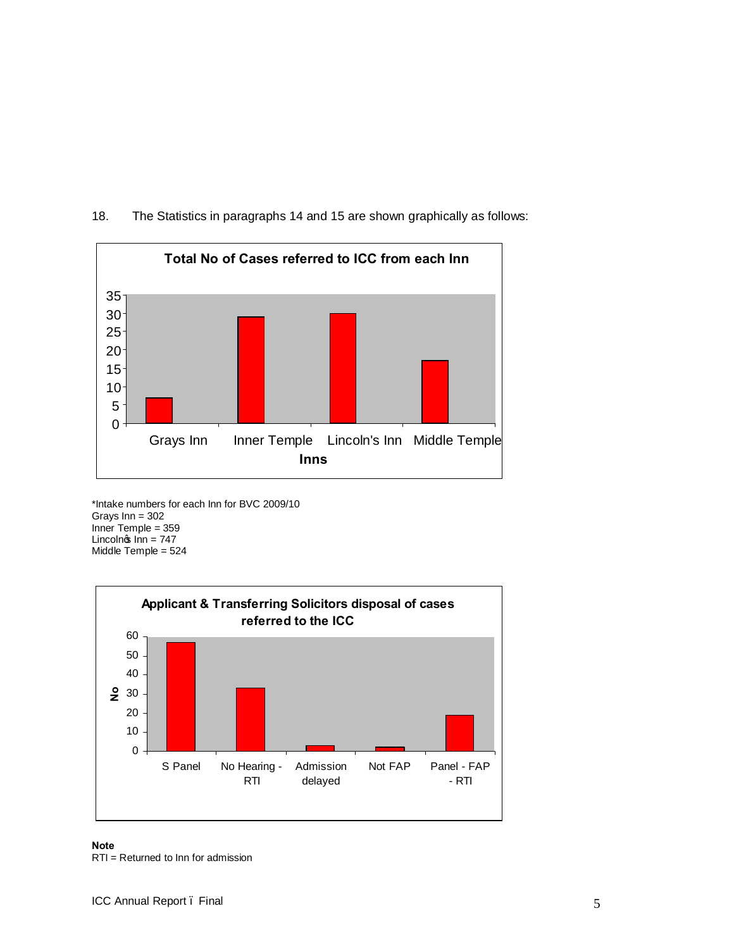

## 18. The Statistics in paragraphs 14 and 15 are shown graphically as follows:

\*Intake numbers for each Inn for BVC 2009/10 Grays Inn = 302 Inner Temple = 359 Lincoln $\sin$  Inn = 747 Middle Temple = 524



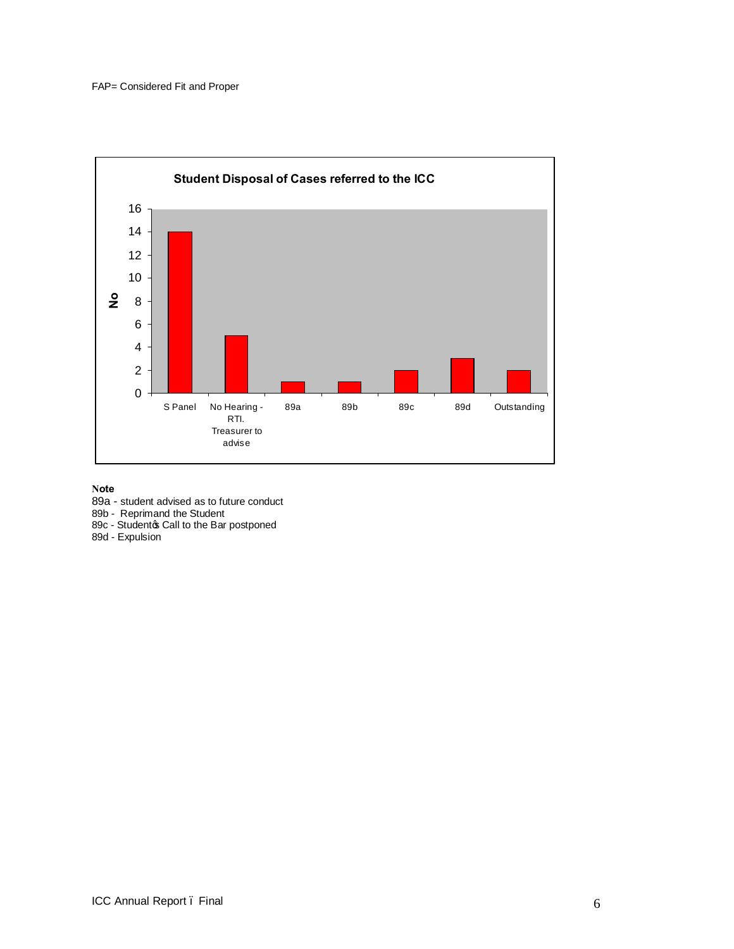

**Note**

89a - student advised as to future conduct

89b - Reprimand the Student

89c - Studentos Call to the Bar postponed

89d - Expulsion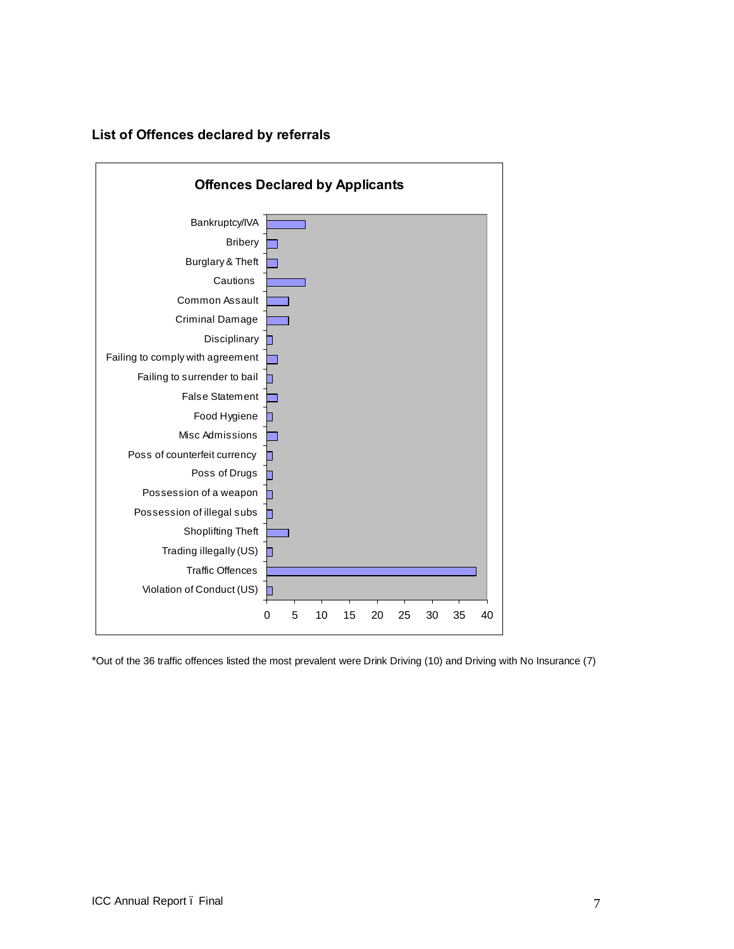



\*Out of the 36 traffic offences listed the most prevalent were Drink Driving (10) and Driving with No Insurance (7)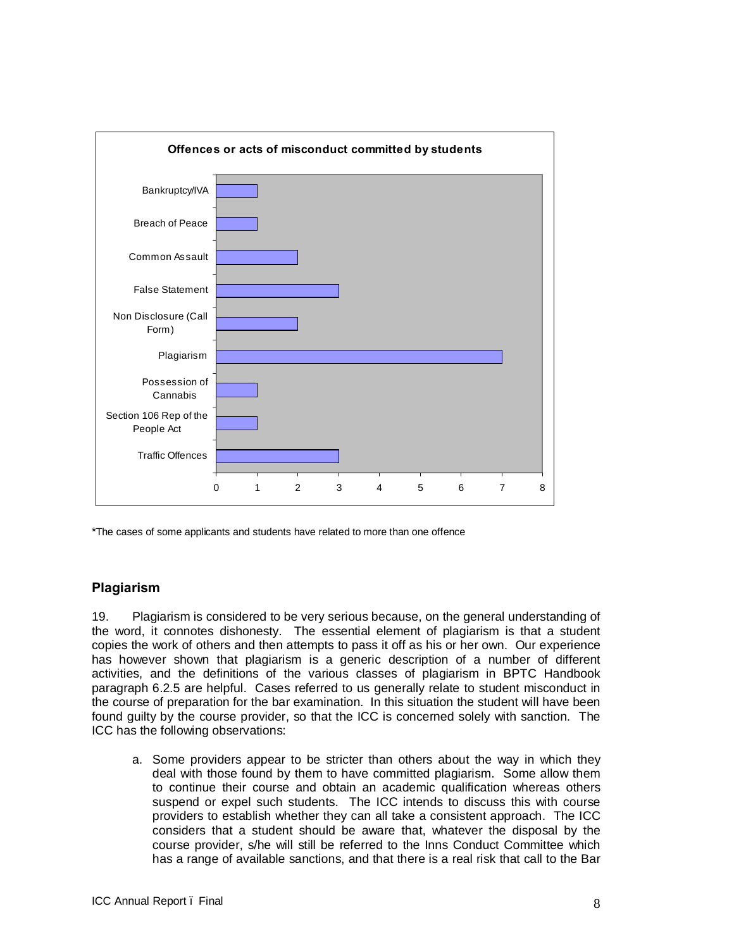

\*The cases of some applicants and students have related to more than one offence

## **Plagiarism**

19. Plagiarism is considered to be very serious because, on the general understanding of the word, it connotes dishonesty. The essential element of plagiarism is that a student copies the work of others and then attempts to pass it off as his or her own. Our experience has however shown that plagiarism is a generic description of a number of different activities, and the definitions of the various classes of plagiarism in BPTC Handbook paragraph 6.2.5 are helpful. Cases referred to us generally relate to student misconduct in the course of preparation for the bar examination. In this situation the student will have been found guilty by the course provider, so that the ICC is concerned solely with sanction. The ICC has the following observations:

a. Some providers appear to be stricter than others about the way in which they deal with those found by them to have committed plagiarism. Some allow them to continue their course and obtain an academic qualification whereas others suspend or expel such students. The ICC intends to discuss this with course providers to establish whether they can all take a consistent approach. The ICC considers that a student should be aware that, whatever the disposal by the course provider, s/he will still be referred to the Inns Conduct Committee which has a range of available sanctions, and that there is a real risk that call to the Bar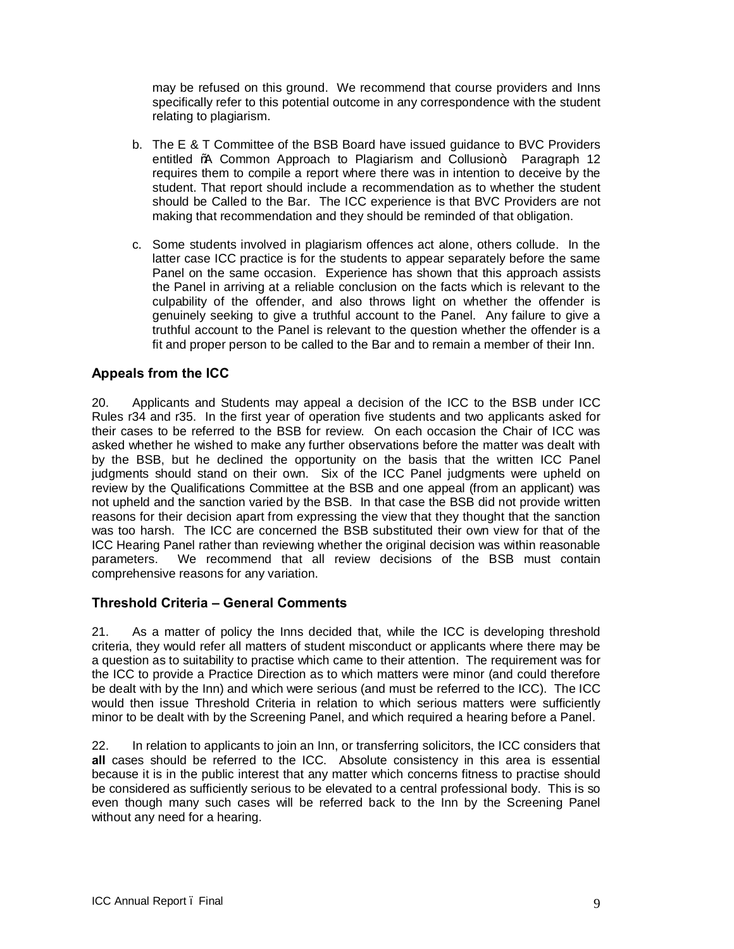may be refused on this ground. We recommend that course providers and Inns specifically refer to this potential outcome in any correspondence with the student relating to plagiarism.

- b. The E & T Committee of the BSB Board have issued guidance to BVC Providers entitled % Common Approach to Plagiarism and Collusion+ Paragraph 12 requires them to compile a report where there was in intention to deceive by the student. That report should include a recommendation as to whether the student should be Called to the Bar. The ICC experience is that BVC Providers are not making that recommendation and they should be reminded of that obligation.
- c. Some students involved in plagiarism offences act alone, others collude. In the latter case ICC practice is for the students to appear separately before the same Panel on the same occasion. Experience has shown that this approach assists the Panel in arriving at a reliable conclusion on the facts which is relevant to the culpability of the offender, and also throws light on whether the offender is genuinely seeking to give a truthful account to the Panel. Any failure to give a truthful account to the Panel is relevant to the question whether the offender is a fit and proper person to be called to the Bar and to remain a member of their Inn.

## **Appeals from the ICC**

20. Applicants and Students may appeal a decision of the ICC to the BSB under ICC Rules r34 and r35. In the first year of operation five students and two applicants asked for their cases to be referred to the BSB for review. On each occasion the Chair of ICC was asked whether he wished to make any further observations before the matter was dealt with by the BSB, but he declined the opportunity on the basis that the written ICC Panel judgments should stand on their own. Six of the ICC Panel judgments were upheld on review by the Qualifications Committee at the BSB and one appeal (from an applicant) was not upheld and the sanction varied by the BSB. In that case the BSB did not provide written reasons for their decision apart from expressing the view that they thought that the sanction was too harsh. The ICC are concerned the BSB substituted their own view for that of the ICC Hearing Panel rather than reviewing whether the original decision was within reasonable parameters. We recommend that all review decisions of the BSB must contain comprehensive reasons for any variation.

## **Threshold Criteria – General Comments**

21. As a matter of policy the Inns decided that, while the ICC is developing threshold criteria, they would refer all matters of student misconduct or applicants where there may be a question as to suitability to practise which came to their attention. The requirement was for the ICC to provide a Practice Direction as to which matters were minor (and could therefore be dealt with by the Inn) and which were serious (and must be referred to the ICC). The ICC would then issue Threshold Criteria in relation to which serious matters were sufficiently minor to be dealt with by the Screening Panel, and which required a hearing before a Panel.

22. In relation to applicants to join an Inn, or transferring solicitors, the ICC considers that **all** cases should be referred to the ICC. Absolute consistency in this area is essential because it is in the public interest that any matter which concerns fitness to practise should be considered as sufficiently serious to be elevated to a central professional body. This is so even though many such cases will be referred back to the Inn by the Screening Panel without any need for a hearing.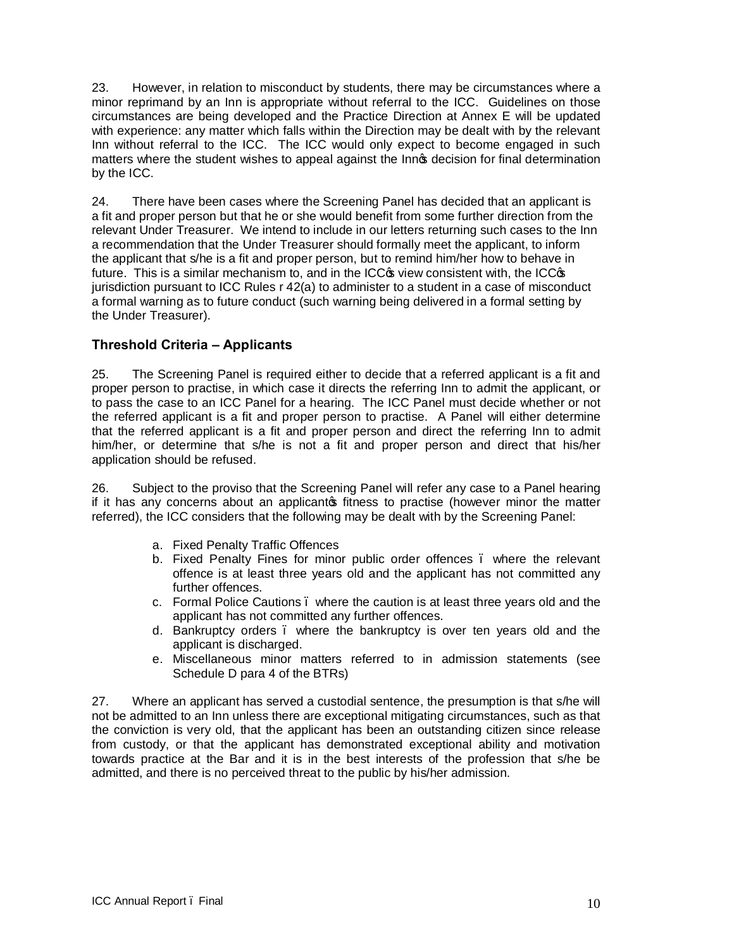23. However, in relation to misconduct by students, there may be circumstances where a minor reprimand by an Inn is appropriate without referral to the ICC. Guidelines on those circumstances are being developed and the Practice Direction at Annex E will be updated with experience: any matter which falls within the Direction may be dealt with by the relevant Inn without referral to the ICC. The ICC would only expect to become engaged in such matters where the student wishes to appeal against the Innot decision for final determination by the ICC.

24. There have been cases where the Screening Panel has decided that an applicant is a fit and proper person but that he or she would benefit from some further direction from the relevant Under Treasurer. We intend to include in our letters returning such cases to the Inn a recommendation that the Under Treasurer should formally meet the applicant, to inform the applicant that s/he is a fit and proper person, but to remind him/her how to behave in future. This is a similar mechanism to, and in the  $ICC\mathfrak{G}$  view consistent with, the  $ICC\mathfrak{G}$ jurisdiction pursuant to ICC Rules r 42(a) to administer to a student in a case of misconduct a formal warning as to future conduct (such warning being delivered in a formal setting by the Under Treasurer).

## **Threshold Criteria – Applicants**

25. The Screening Panel is required either to decide that a referred applicant is a fit and proper person to practise, in which case it directs the referring Inn to admit the applicant, or to pass the case to an ICC Panel for a hearing. The ICC Panel must decide whether or not the referred applicant is a fit and proper person to practise. A Panel will either determine that the referred applicant is a fit and proper person and direct the referring Inn to admit him/her, or determine that s/he is not a fit and proper person and direct that his/her application should be refused.

26. Subject to the proviso that the Screening Panel will refer any case to a Panel hearing if it has any concerns about an applicants fitness to practise (however minor the matter referred), the ICC considers that the following may be dealt with by the Screening Panel:

- a. Fixed Penalty Traffic Offences
- b. Fixed Penalty Fines for minor public order offences. where the relevant offence is at least three years old and the applicant has not committed any further offences.
- c. Formal Police Cautions where the caution is at least three years old and the applicant has not committed any further offences.
- d. Bankruptcy orders where the bankruptcy is over ten years old and the applicant is discharged.
- e. Miscellaneous minor matters referred to in admission statements (see Schedule D para 4 of the BTRs)

27. Where an applicant has served a custodial sentence, the presumption is that s/he will not be admitted to an Inn unless there are exceptional mitigating circumstances, such as that the conviction is very old, that the applicant has been an outstanding citizen since release from custody, or that the applicant has demonstrated exceptional ability and motivation towards practice at the Bar and it is in the best interests of the profession that s/he be admitted, and there is no perceived threat to the public by his/her admission.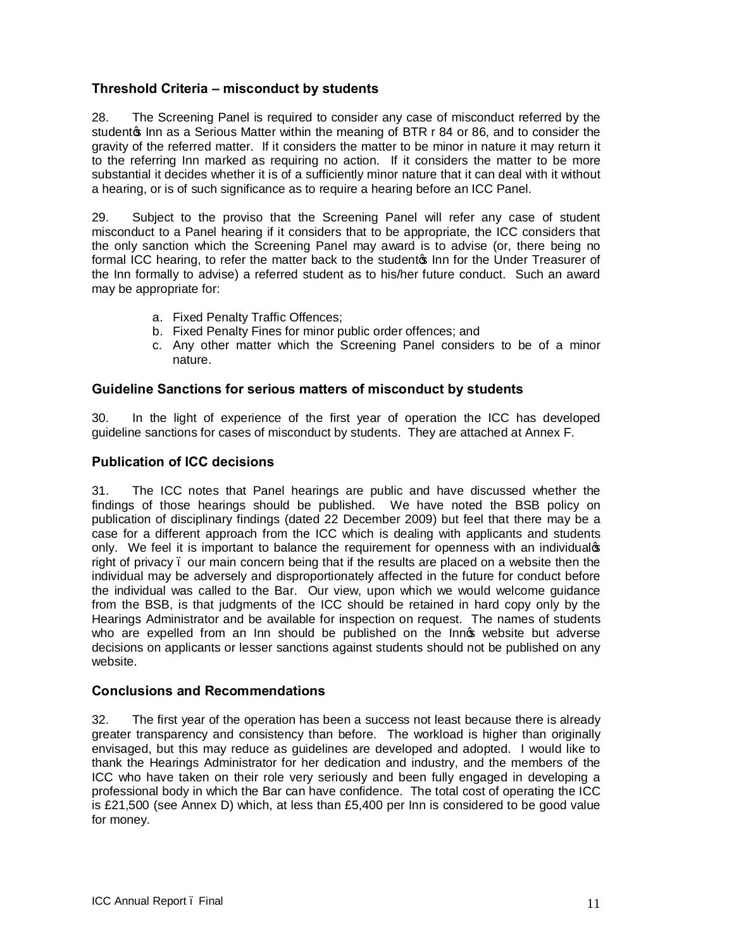## **Threshold Criteria – misconduct by students**

28. The Screening Panel is required to consider any case of misconduct referred by the studento Inn as a Serious Matter within the meaning of BTR r 84 or 86, and to consider the gravity of the referred matter. If it considers the matter to be minor in nature it may return it to the referring Inn marked as requiring no action. If it considers the matter to be more substantial it decides whether it is of a sufficiently minor nature that it can deal with it without a hearing, or is of such significance as to require a hearing before an ICC Panel.

29. Subject to the proviso that the Screening Panel will refer any case of student misconduct to a Panel hearing if it considers that to be appropriate, the ICC considers that the only sanction which the Screening Panel may award is to advise (or, there being no formal ICC hearing, to refer the matter back to the studento Inn for the Under Treasurer of the Inn formally to advise) a referred student as to his/her future conduct. Such an award may be appropriate for:

- a. Fixed Penalty Traffic Offences;
- b. Fixed Penalty Fines for minor public order offences; and
- c. Any other matter which the Screening Panel considers to be of a minor nature.

## **Guideline Sanctions for serious matters of misconduct by students**

30. In the light of experience of the first year of operation the ICC has developed guideline sanctions for cases of misconduct by students. They are attached at Annex F.

## **Publication of ICC decisions**

31. The ICC notes that Panel hearings are public and have discussed whether the findings of those hearings should be published. We have noted the BSB policy on publication of disciplinary findings (dated 22 December 2009) but feel that there may be a case for a different approach from the ICC which is dealing with applicants and students only. We feel it is important to balance the requirement for openness with an individualos right of privacy – our main concern being that if the results are placed on a website then the individual may be adversely and disproportionately affected in the future for conduct before the individual was called to the Bar. Our view, upon which we would welcome guidance from the BSB, is that judgments of the ICC should be retained in hard copy only by the Hearings Administrator and be available for inspection on request. The names of students who are expelled from an Inn should be published on the Innot website but adverse decisions on applicants or lesser sanctions against students should not be published on any website.

## **Conclusions and Recommendations**

32. The first year of the operation has been a success not least because there is already greater transparency and consistency than before. The workload is higher than originally envisaged, but this may reduce as guidelines are developed and adopted. I would like to thank the Hearings Administrator for her dedication and industry, and the members of the ICC who have taken on their role very seriously and been fully engaged in developing a professional body in which the Bar can have confidence. The total cost of operating the ICC is £21,500 (see Annex D) which, at less than £5,400 per Inn is considered to be good value for money.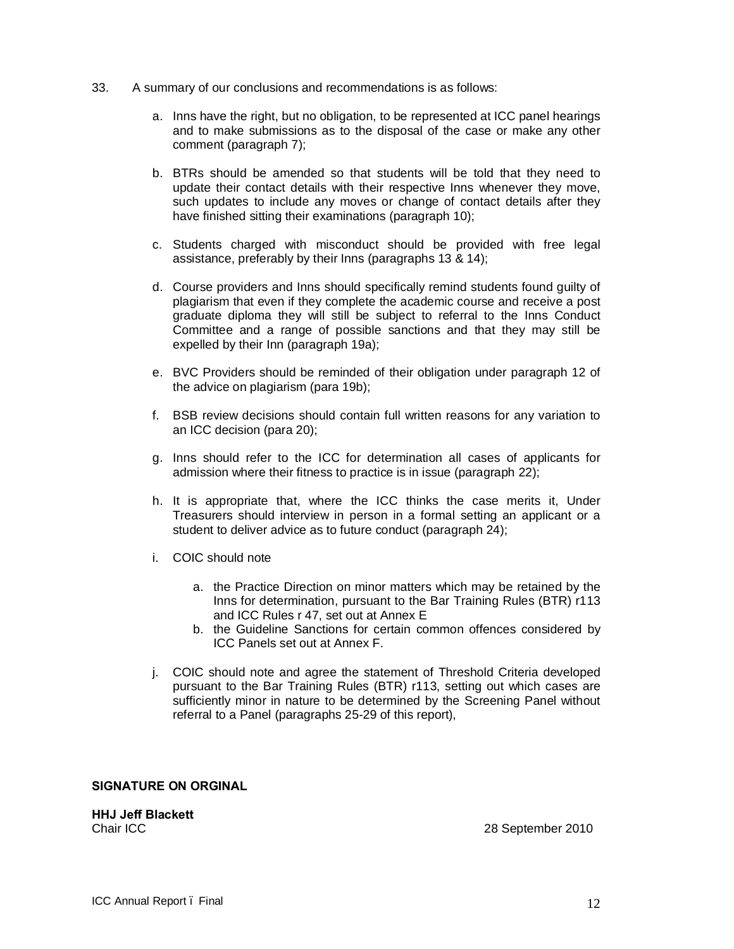- 33. A summary of our conclusions and recommendations is as follows:
	- a. Inns have the right, but no obligation, to be represented at ICC panel hearings and to make submissions as to the disposal of the case or make any other comment (paragraph 7);
	- b. BTRs should be amended so that students will be told that they need to update their contact details with their respective Inns whenever they move, such updates to include any moves or change of contact details after they have finished sitting their examinations (paragraph 10);
	- c. Students charged with misconduct should be provided with free legal assistance, preferably by their Inns (paragraphs 13 & 14);
	- d. Course providers and Inns should specifically remind students found guilty of plagiarism that even if they complete the academic course and receive a post graduate diploma they will still be subject to referral to the Inns Conduct Committee and a range of possible sanctions and that they may still be expelled by their Inn (paragraph 19a);
	- e. BVC Providers should be reminded of their obligation under paragraph 12 of the advice on plagiarism (para 19b);
	- f. BSB review decisions should contain full written reasons for any variation to an ICC decision (para 20);
	- g. Inns should refer to the ICC for determination all cases of applicants for admission where their fitness to practice is in issue (paragraph 22);
	- h. It is appropriate that, where the ICC thinks the case merits it, Under Treasurers should interview in person in a formal setting an applicant or a student to deliver advice as to future conduct (paragraph 24);
	- i. COIC should note
		- a. the Practice Direction on minor matters which may be retained by the Inns for determination, pursuant to the Bar Training Rules (BTR) r113 and ICC Rules r 47, set out at Annex E
		- b. the Guideline Sanctions for certain common offences considered by ICC Panels set out at Annex F.
	- j. COIC should note and agree the statement of Threshold Criteria developed pursuant to the Bar Training Rules (BTR) r113, setting out which cases are sufficiently minor in nature to be determined by the Screening Panel without referral to a Panel (paragraphs 25-29 of this report),

#### **SIGNATURE ON ORGINAL**

**HHJ Jeff Blackett**

Chair ICC 28 September 2010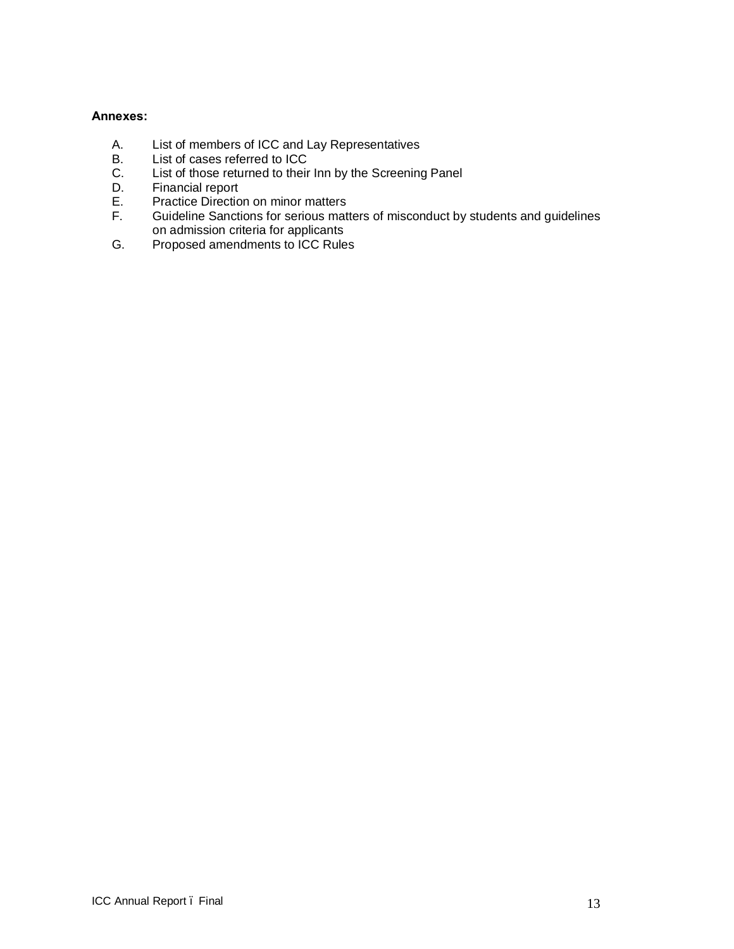## **Annexes:**

- A. List of members of ICC and Lay Representatives
- B. List of cases referred to ICC<br>C. List of those returned to their
- C. List of those returned to their Inn by the Screening Panel<br>D. Financial report
- D. Financial report<br>E. Practice Directio
- E. Practice Direction on minor matters<br>F. Guideline Sanctions for serious matt
- Guideline Sanctions for serious matters of misconduct by students and guidelines on admission criteria for applicants
- G. Proposed amendments to ICC Rules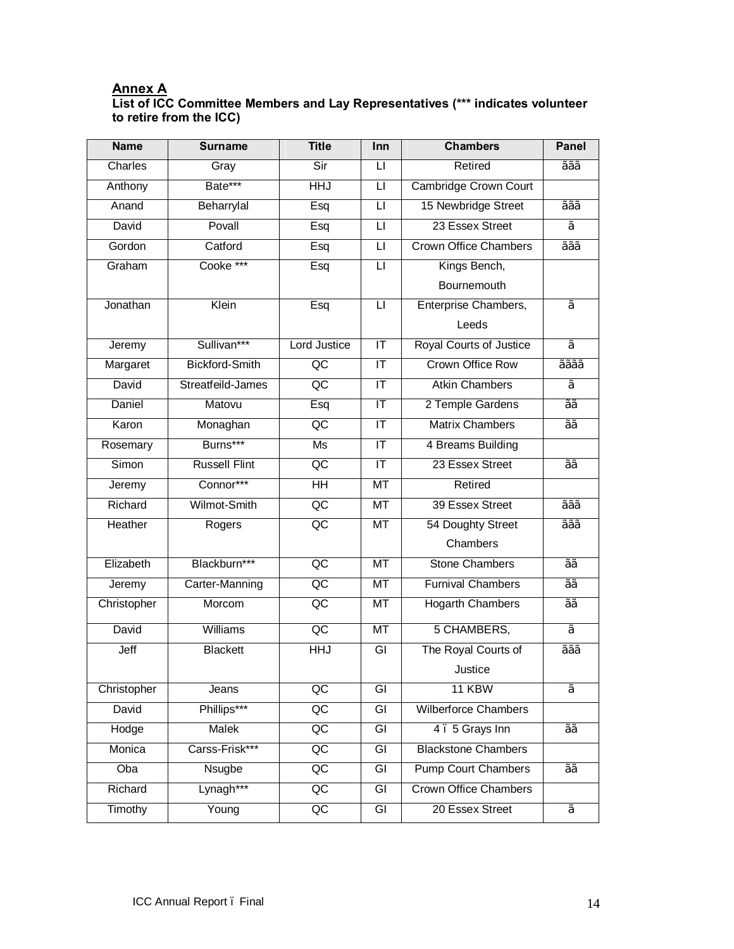## **Annex A**

## **List of ICC Committee Members and Lay Representatives (\*\*\* indicates volunteer to retire from the ICC)**

| <b>Name</b> | <b>Surname</b>        | <b>Title</b>             | Inn                               | <b>Chambers</b>                | <b>Panel</b>    |
|-------------|-----------------------|--------------------------|-----------------------------------|--------------------------------|-----------------|
| Charles     | Gray                  | Sir                      | $\mathsf{L}$                      | Retired                        | $\overline{22}$ |
| Anthony     | Bate***               | HHJ                      | $\overline{\mathsf{L}}$           | <b>Cambridge Crown Court</b>   |                 |
| Anand       | Beharrylal            | Esq                      | П                                 | 15 Newbridge Street            | $\overline{22}$ |
| David       | Povall                | $\overline{\text{E}}$ sq | $\overline{\mathsf{L}}$           | 23 Essex Street                | $\frac{1}{2}$   |
| Gordon      | Catford               | $\overline{\text{Esq}}$  | $\overline{\mathsf{L}}$           | <b>Crown Office Chambers</b>   | 1/2/2/2         |
| Graham      | Cooke ***             | Esq                      | $\overline{\mathsf{L}}$           | Kings Bench,                   |                 |
|             |                       |                          |                                   | Bournemouth                    |                 |
| Jonathan    | Klein                 | Esq                      | П                                 | Enterprise Chambers,           | $\frac{1}{2}$   |
|             |                       |                          |                                   | Leeds                          |                 |
| Jeremy      | Sullivan***           | <b>Lord Justice</b>      | $\overline{\mathsf{I}\mathsf{T}}$ | <b>Royal Courts of Justice</b> | $\frac{1}{2}$   |
| Margaret    | <b>Bickford-Smith</b> | $\overline{AC}$          | IT                                | <b>Crown Office Row</b>        | 1/2/2/2/2       |
| David       | Streatfeild-James     | $\overline{AC}$          | $\overline{\mathsf{I}\mathsf{T}}$ | <b>Atkin Chambers</b>          | $\frac{1}{2}$   |
| Daniel      | Matovu                | Esq                      | $\overline{\mathsf{I}\mathsf{T}}$ | 2 Temple Gardens               | $\frac{1}{2}$   |
| Karon       | Monaghan              | $\overline{AC}$          | IT                                | <b>Matrix Chambers</b>         | $\frac{1}{2}$   |
| Rosemary    | Burns***              | Ms                       | ΙΤ                                | 4 Breams Building              |                 |
| Simon       | <b>Russell Flint</b>  | $\overline{AC}$          | $\overline{\mathsf{I}\mathsf{T}}$ | 23 Essex Street                | $\frac{1}{2}$   |
| Jeremy      | Connor***             | H <sub>H</sub>           | $\overline{\text{MT}}$            | Retired                        |                 |
| Richard     | Wilmot-Smith          | $\overline{AC}$          | $\overline{\text{MT}}$            | 39 Essex Street                | 1/2/2/2         |
| Heather     | Rogers                | $\overline{OC}$          | MT                                | 54 Doughty Street              | $\frac{1}{22}$  |
|             |                       |                          |                                   | Chambers                       |                 |
| Elizabeth   | Blackburn***          | $\overline{AC}$          | $\overline{\text{MT}}$            | <b>Stone Chambers</b>          | $\frac{1}{2}$   |
| Jeremy      | Carter-Manning        | $\overline{AC}$          | $\overline{\text{MT}}$            | <b>Furnival Chambers</b>       | $\frac{1}{2}$   |
| Christopher | Morcom                | $\overline{AC}$          | $\overline{\text{MT}}$            | <b>Hogarth Chambers</b>        | $\frac{1}{2}$   |
| David       | Williams              | $\overline{AC}$          | MT                                | 5 CHAMBERS,                    | $\frac{1}{2}$   |
| Jeff        | <b>Blackett</b>       | HHJ                      | GI                                | The Royal Courts of            | $\frac{1}{222}$ |
|             |                       |                          |                                   | Justice                        |                 |
| Christopher | Jeans                 | QC                       | GI                                | 11 KBW                         | $\frac{1}{2}$   |
| David       | Phillips***           | $\overline{\mathsf{QC}}$ | $\overline{\mathsf{G}}$           | <b>Wilberforce Chambers</b>    |                 |
| Hodge       | Malek                 | QC                       | GI                                | 4. 5 Grays Inn                 | 1/1/2           |
| Monica      | Carss-Frisk***        | $\overline{AC}$          | $\overline{G}$                    | <b>Blackstone Chambers</b>     |                 |
| Oba         | <b>Nsugbe</b>         | $\overline{AC}$          | GI                                | <b>Pump Court Chambers</b>     | $\frac{1}{2}$   |
| Richard     | Lynagh***             | $\overline{AC}$          | $\overline{G}$                    | <b>Crown Office Chambers</b>   |                 |
| Timothy     | Young                 | $\overline{AC}$          | GI                                | 20 Essex Street                | $\frac{1}{2}$   |
|             |                       |                          |                                   |                                |                 |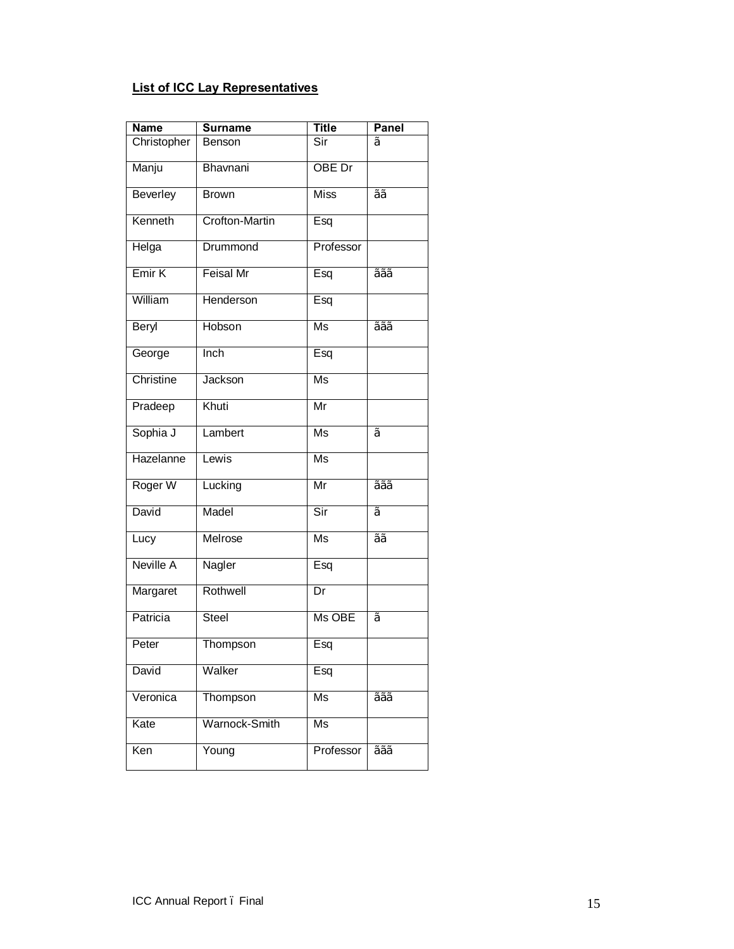## **List of ICC Lay Representatives**

| <b>Name</b>       | <b>Surname</b>        | <b>Title</b>             | Panel                    |
|-------------------|-----------------------|--------------------------|--------------------------|
| Christopher       | Benson                | Sir                      | $\frac{1}{2}$            |
| Manju             | Bhavnani              | OBE Dr                   |                          |
| <b>Beverley</b>   | <b>Brown</b>          | <b>Miss</b>              | $\frac{1}{2}$            |
| Kenneth           | <b>Crofton-Martin</b> | Esq                      |                          |
| Helga             | Drummond              | Professor                |                          |
| Emir <sub>K</sub> | <b>Feisal Mr</b>      | Esq                      | $\overline{\frac{1}{2}}$ |
| William           | Henderson             | Esq                      |                          |
| Beryl             | Hobson                | $\overline{\mathsf{Ms}}$ | 1/2/2/2                  |
| George            | Inch                  | Esq                      |                          |
| Christine         | Jackson               | $\overline{\mathsf{Ms}}$ |                          |
| Pradeep           | Khuti                 | $\overline{\mathsf{Mr}}$ |                          |
| Sophia J          | Lambert               | $\overline{\mathsf{Ms}}$ | $\frac{1}{2}$            |
| Hazelanne         | Lewis                 | $\overline{\mathsf{Ms}}$ |                          |
| Roger W           | Lucking               | Mr                       | $\frac{1}{2}$            |
| David             | Madel                 | Sir                      | $\frac{1}{2}$            |
| Lucy              | Melrose               | Ms                       | $\frac{1}{2}$            |
| Neville A         | Nagler                | Esq                      |                          |
| Margaret          | Rothwell              | $\overline{\mathsf{Dr}}$ |                          |
| Patricia          | Steel                 | Ms OBE                   | $\frac{1}{2}$            |
| Peter             | Thompson              | Esq                      |                          |
| David             | Walker                | Esq                      |                          |
| Veronica          | Thompson              | $\overline{\mathsf{Ms}}$ | $\frac{1}{2}$            |
| Kate              | Warnock-Smith         | Ms                       |                          |
| Ken               | Young                 | Professor                | 1/2/2/2                  |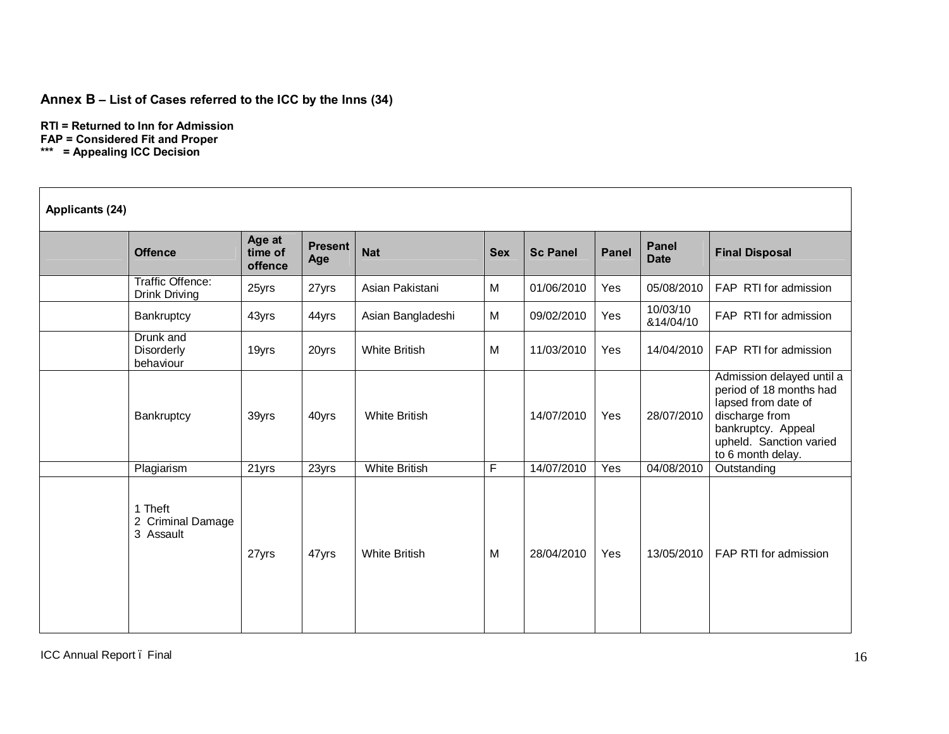## **Annex B – List of Cases referred to the ICC by the Inns (34)**

**RTI = Returned to Inn for Admission FAP = Considered Fit and Proper \*\*\* = Appealing ICC Decision**

| Applicants (24) |                                           |                              |                       |                      |            |                 |              |                             |                                                                                                                                                                     |
|-----------------|-------------------------------------------|------------------------------|-----------------------|----------------------|------------|-----------------|--------------|-----------------------------|---------------------------------------------------------------------------------------------------------------------------------------------------------------------|
|                 | <b>Offence</b>                            | Age at<br>time of<br>offence | <b>Present</b><br>Age | <b>Nat</b>           | <b>Sex</b> | <b>Sc Panel</b> | <b>Panel</b> | <b>Panel</b><br><b>Date</b> | <b>Final Disposal</b>                                                                                                                                               |
|                 | Traffic Offence:<br>Drink Driving         | 25yrs                        | 27yrs                 | Asian Pakistani      | M          | 01/06/2010      | Yes          | 05/08/2010                  | FAP RTI for admission                                                                                                                                               |
|                 | Bankruptcy                                | 43yrs                        | 44yrs                 | Asian Bangladeshi    | M          | 09/02/2010      | Yes          | 10/03/10<br>&14/04/10       | FAP RTI for admission                                                                                                                                               |
|                 | Drunk and<br>Disorderly<br>behaviour      | 19yrs                        | 20yrs                 | <b>White British</b> | M          | 11/03/2010      | Yes          | 14/04/2010                  | FAP RTI for admission                                                                                                                                               |
|                 | Bankruptcy                                | 39yrs                        | 40yrs                 | <b>White British</b> |            | 14/07/2010      | Yes          | 28/07/2010                  | Admission delayed until a<br>period of 18 months had<br>lapsed from date of<br>discharge from<br>bankruptcy. Appeal<br>upheld. Sanction varied<br>to 6 month delay. |
|                 | Plagiarism                                | 21yrs                        | 23yrs                 | <b>White British</b> | F          | 14/07/2010      | Yes          | 04/08/2010                  | Outstanding                                                                                                                                                         |
|                 | 1 Theft<br>2 Criminal Damage<br>3 Assault | 27yrs                        | 47yrs                 | <b>White British</b> | M          | 28/04/2010      | Yes          | 13/05/2010                  | FAP RTI for admission                                                                                                                                               |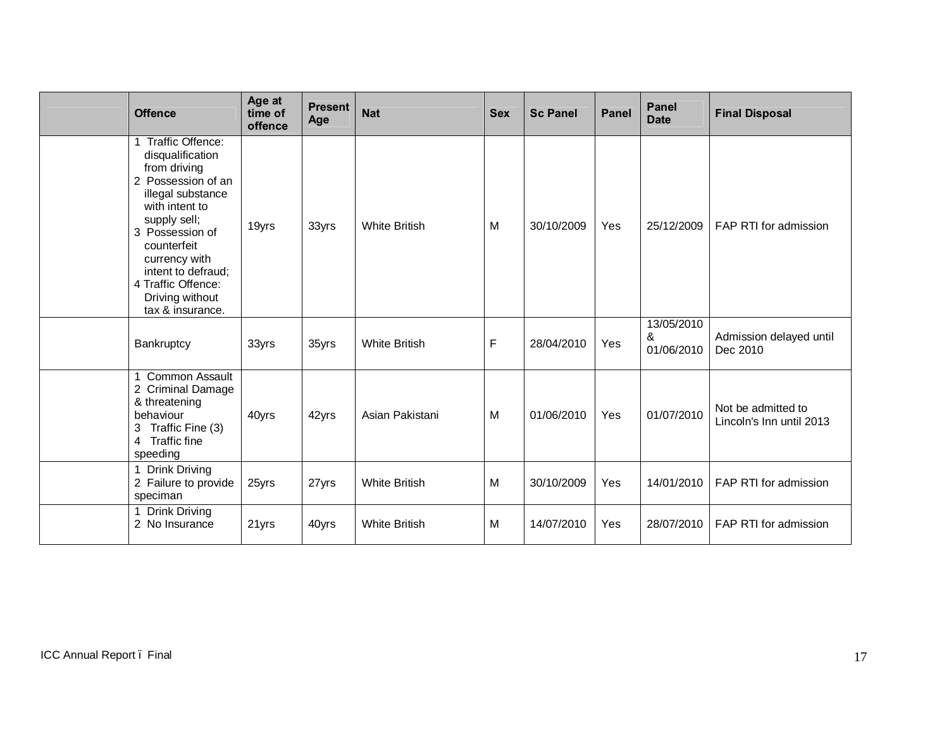| <b>Offence</b>                                                                                                                                                                                                                                                                 | Age at<br>time of<br>offence | <b>Present</b><br>Age | <b>Nat</b>           | <b>Sex</b> | <b>Sc Panel</b> | <b>Panel</b> | <b>Panel</b><br><b>Date</b>   | <b>Final Disposal</b>                          |
|--------------------------------------------------------------------------------------------------------------------------------------------------------------------------------------------------------------------------------------------------------------------------------|------------------------------|-----------------------|----------------------|------------|-----------------|--------------|-------------------------------|------------------------------------------------|
| <b>Traffic Offence:</b><br>disqualification<br>from driving<br>2 Possession of an<br>illegal substance<br>with intent to<br>supply sell;<br>3 Possession of<br>counterfeit<br>currency with<br>intent to defraud;<br>4 Traffic Offence:<br>Driving without<br>tax & insurance. | 19yrs                        | 33yrs                 | <b>White British</b> | M          | 30/10/2009      | Yes          | 25/12/2009                    | FAP RTI for admission                          |
| Bankruptcy                                                                                                                                                                                                                                                                     | 33yrs                        | 35yrs                 | <b>White British</b> | F          | 28/04/2010      | Yes          | 13/05/2010<br>&<br>01/06/2010 | Admission delayed until<br>Dec 2010            |
| <b>Common Assault</b><br>2 Criminal Damage<br>& threatening<br>behaviour<br>Traffic Fine (3)<br>3 <sup>1</sup><br>4 Traffic fine<br>speeding                                                                                                                                   | 40yrs                        | 42yrs                 | Asian Pakistani      | M          | 01/06/2010      | Yes          | 01/07/2010                    | Not be admitted to<br>Lincoln's Inn until 2013 |
| <b>Drink Driving</b><br>2 Failure to provide<br>speciman                                                                                                                                                                                                                       | 25yrs                        | 27yrs                 | <b>White British</b> | M          | 30/10/2009      | Yes          | 14/01/2010                    | FAP RTI for admission                          |
| <b>Drink Driving</b><br>2 No Insurance                                                                                                                                                                                                                                         | 21yrs                        | 40yrs                 | <b>White British</b> | M          | 14/07/2010      | Yes          | 28/07/2010                    | FAP RTI for admission                          |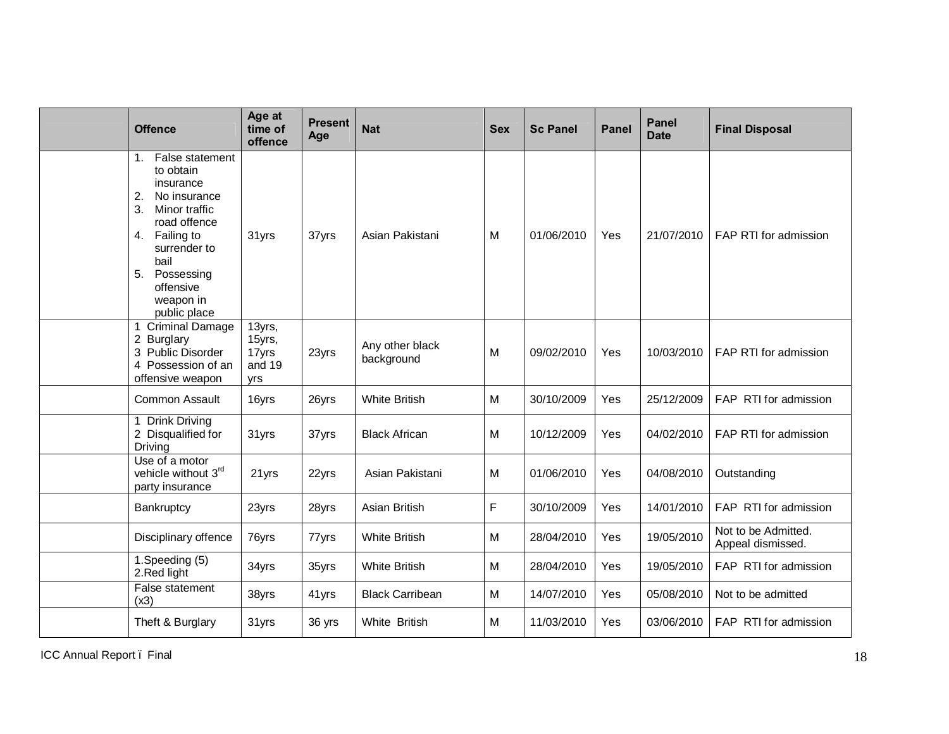| <b>Offence</b>                                                                                                                                                                                                         | Age at<br>time of<br>offence               | <b>Present</b><br>Age | <b>Nat</b>                    | <b>Sex</b> | <b>Sc Panel</b> | <b>Panel</b> | <b>Panel</b><br><b>Date</b> | <b>Final Disposal</b>                    |
|------------------------------------------------------------------------------------------------------------------------------------------------------------------------------------------------------------------------|--------------------------------------------|-----------------------|-------------------------------|------------|-----------------|--------------|-----------------------------|------------------------------------------|
| False statement<br>1.<br>to obtain<br>insurance<br>2.<br>No insurance<br>Minor traffic<br>3.<br>road offence<br>Failing to<br>4.<br>surrender to<br>bail<br>5.<br>Possessing<br>offensive<br>weapon in<br>public place | 31yrs                                      | 37yrs                 | Asian Pakistani               | M          | 01/06/2010      | Yes          | 21/07/2010                  | FAP RTI for admission                    |
| Criminal Damage<br>2 Burglary<br>3 Public Disorder<br>4 Possession of an<br>offensive weapon                                                                                                                           | 13yrs,<br>15yrs,<br>17yrs<br>and 19<br>yrs | 23yrs                 | Any other black<br>background | M          | 09/02/2010      | Yes          | 10/03/2010                  | FAP RTI for admission                    |
| <b>Common Assault</b>                                                                                                                                                                                                  | 16yrs                                      | 26yrs                 | <b>White British</b>          | M          | 30/10/2009      | Yes          | 25/12/2009                  | FAP RTI for admission                    |
| 1 Drink Driving<br>2 Disqualified for<br>Driving                                                                                                                                                                       | 31yrs                                      | 37yrs                 | <b>Black African</b>          | M          | 10/12/2009      | Yes          | 04/02/2010                  | FAP RTI for admission                    |
| Use of a motor<br>vehicle without 3rd<br>party insurance                                                                                                                                                               | 21yrs                                      | 22yrs                 | Asian Pakistani               | M          | 01/06/2010      | Yes          | 04/08/2010                  | Outstanding                              |
| Bankruptcy                                                                                                                                                                                                             | 23yrs                                      | 28yrs                 | Asian British                 | F          | 30/10/2009      | Yes          | 14/01/2010                  | FAP RTI for admission                    |
| Disciplinary offence                                                                                                                                                                                                   | 76yrs                                      | 77yrs                 | <b>White British</b>          | M          | 28/04/2010      | Yes          | 19/05/2010                  | Not to be Admitted.<br>Appeal dismissed. |
| 1.Speeding (5)<br>2.Red light                                                                                                                                                                                          | 34yrs                                      | 35yrs                 | <b>White British</b>          | M          | 28/04/2010      | Yes          | 19/05/2010                  | FAP RTI for admission                    |
| False statement<br>(x3)                                                                                                                                                                                                | 38yrs                                      | 41yrs                 | <b>Black Carribean</b>        | M          | 14/07/2010      | Yes          | 05/08/2010                  | Not to be admitted                       |
| Theft & Burglary                                                                                                                                                                                                       | 31yrs                                      | 36 yrs                | White British                 | M          | 11/03/2010      | Yes          | 03/06/2010                  | FAP RTI for admission                    |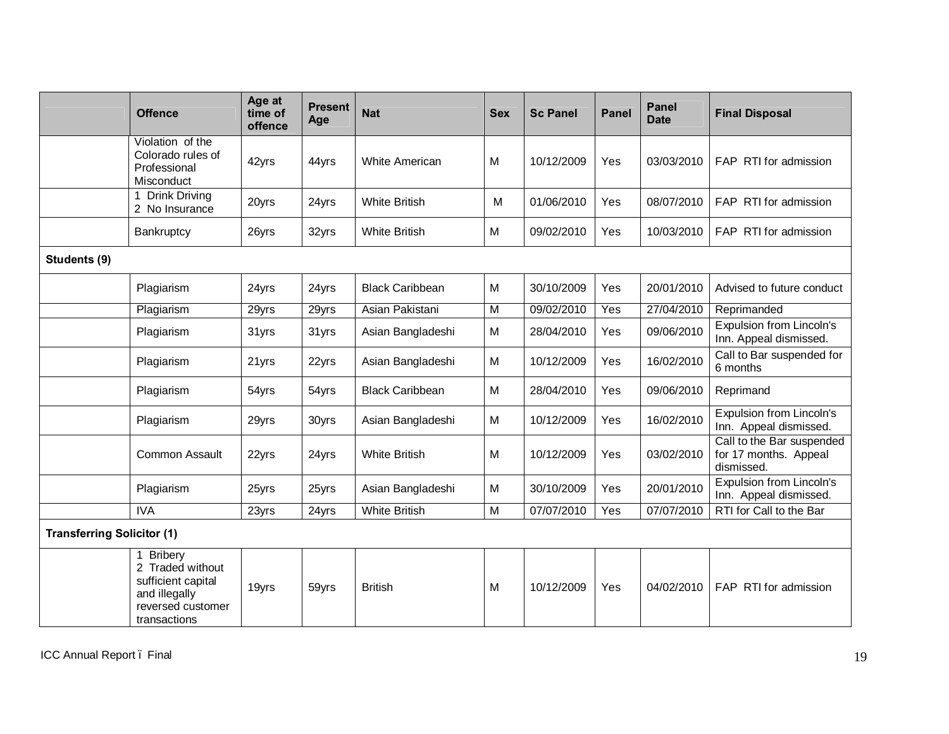|                                   | <b>Offence</b>                                                                                                 | Age at<br>time of<br>offence | <b>Present</b><br>Age | <b>Nat</b>             | <b>Sex</b>              | <b>Sc Panel</b> | <b>Panel</b> | Panel<br><b>Date</b> | <b>Final Disposal</b>                                            |
|-----------------------------------|----------------------------------------------------------------------------------------------------------------|------------------------------|-----------------------|------------------------|-------------------------|-----------------|--------------|----------------------|------------------------------------------------------------------|
|                                   | Violation of the<br>Colorado rules of<br>Professional<br>Misconduct                                            | 42yrs                        | 44yrs                 | <b>White American</b>  | M                       | 10/12/2009      | Yes          | 03/03/2010           | FAP RTI for admission                                            |
|                                   | <b>Drink Driving</b><br>2 No Insurance                                                                         | 20yrs                        | 24yrs                 | <b>White British</b>   | M                       | 01/06/2010      | Yes          | 08/07/2010           | FAP RTI for admission                                            |
|                                   | Bankruptcy                                                                                                     | 26yrs                        | 32yrs                 | <b>White British</b>   | M                       | 09/02/2010      | Yes          | 10/03/2010           | FAP RTI for admission                                            |
| Students (9)                      |                                                                                                                |                              |                       |                        |                         |                 |              |                      |                                                                  |
|                                   | Plagiarism                                                                                                     | 24yrs                        | 24yrs                 | <b>Black Caribbean</b> | M                       | 30/10/2009      | Yes          | 20/01/2010           | Advised to future conduct                                        |
|                                   | Plagiarism                                                                                                     | 29yrs                        | 29yrs                 | Asian Pakistani        | $\overline{\mathsf{M}}$ | 09/02/2010      | Yes          | 27/04/2010           | Reprimanded                                                      |
|                                   | Plagiarism                                                                                                     | 31yrs                        | 31yrs                 | Asian Bangladeshi      | M                       | 28/04/2010      | Yes          | 09/06/2010           | Expulsion from Lincoln's<br>Inn. Appeal dismissed.               |
|                                   | Plagiarism                                                                                                     | 21yrs                        | 22yrs                 | Asian Bangladeshi      | M                       | 10/12/2009      | Yes          | 16/02/2010           | Call to Bar suspended for<br>6 months                            |
|                                   | Plagiarism                                                                                                     | 54yrs                        | 54yrs                 | <b>Black Caribbean</b> | M                       | 28/04/2010      | Yes          | 09/06/2010           | Reprimand                                                        |
|                                   | Plagiarism                                                                                                     | 29yrs                        | 30yrs                 | Asian Bangladeshi      | M                       | 10/12/2009      | Yes          | 16/02/2010           | <b>Expulsion from Lincoln's</b><br>Inn. Appeal dismissed.        |
|                                   | <b>Common Assault</b>                                                                                          | 22yrs                        | 24yrs                 | <b>White British</b>   | M                       | 10/12/2009      | Yes          | 03/02/2010           | Call to the Bar suspended<br>for 17 months. Appeal<br>dismissed. |
|                                   | Plagiarism                                                                                                     | 25yrs                        | 25yrs                 | Asian Bangladeshi      | M                       | 30/10/2009      | Yes          | 20/01/2010           | <b>Expulsion from Lincoln's</b><br>Inn. Appeal dismissed.        |
|                                   | <b>IVA</b>                                                                                                     | 23yrs                        | 24yrs                 | <b>White British</b>   | M                       | 07/07/2010      | Yes          | 07/07/2010           | RTI for Call to the Bar                                          |
| <b>Transferring Solicitor (1)</b> |                                                                                                                |                              |                       |                        |                         |                 |              |                      |                                                                  |
|                                   | <b>Bribery</b><br>2 Traded without<br>sufficient capital<br>and illegally<br>reversed customer<br>transactions | 19yrs                        | 59yrs                 | <b>British</b>         | M                       | 10/12/2009      | Yes          | 04/02/2010           | FAP RTI for admission                                            |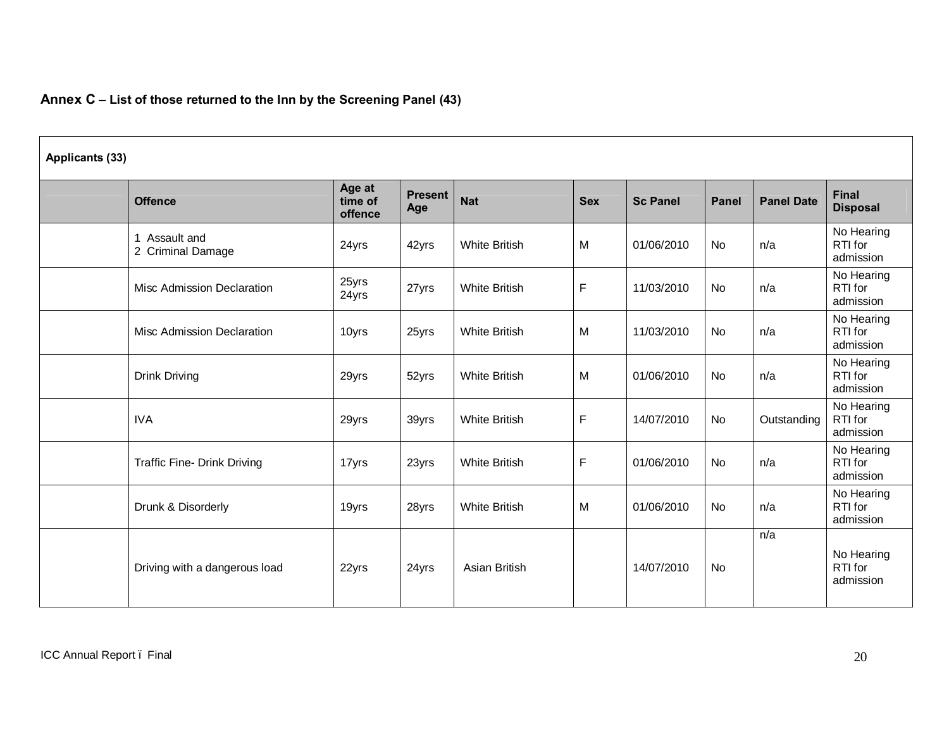# **Annex C – List of those returned to the Inn by the Screening Panel (43)**

| Applicants (33) |                                    |                              |                       |                      |            |                 |              |                   |                                    |
|-----------------|------------------------------------|------------------------------|-----------------------|----------------------|------------|-----------------|--------------|-------------------|------------------------------------|
|                 | <b>Offence</b>                     | Age at<br>time of<br>offence | <b>Present</b><br>Age | <b>Nat</b>           | <b>Sex</b> | <b>Sc Panel</b> | <b>Panel</b> | <b>Panel Date</b> | <b>Final</b><br><b>Disposal</b>    |
|                 | 1 Assault and<br>2 Criminal Damage | 24yrs                        | 42yrs                 | <b>White British</b> | M          | 01/06/2010      | No           | n/a               | No Hearing<br>RTI for<br>admission |
|                 | <b>Misc Admission Declaration</b>  | 25yrs<br>24yrs               | 27yrs                 | <b>White British</b> | F          | 11/03/2010      | No           | n/a               | No Hearing<br>RTI for<br>admission |
|                 | <b>Misc Admission Declaration</b>  | 10yrs                        | 25yrs                 | <b>White British</b> | M          | 11/03/2010      | <b>No</b>    | n/a               | No Hearing<br>RTI for<br>admission |
|                 | <b>Drink Driving</b>               | 29yrs                        | 52yrs                 | <b>White British</b> | M          | 01/06/2010      | No           | n/a               | No Hearing<br>RTI for<br>admission |
|                 | <b>IVA</b>                         | 29yrs                        | 39yrs                 | <b>White British</b> | F          | 14/07/2010      | No           | Outstanding       | No Hearing<br>RTI for<br>admission |
|                 | <b>Traffic Fine- Drink Driving</b> | 17yrs                        | 23yrs                 | <b>White British</b> | F          | 01/06/2010      | No           | n/a               | No Hearing<br>RTI for<br>admission |
|                 | Drunk & Disorderly                 | 19yrs                        | 28yrs                 | <b>White British</b> | M          | 01/06/2010      | No           | n/a               | No Hearing<br>RTI for<br>admission |
|                 | Driving with a dangerous load      | 22yrs                        | 24yrs                 | Asian British        |            | 14/07/2010      | <b>No</b>    | n/a               | No Hearing<br>RTI for<br>admission |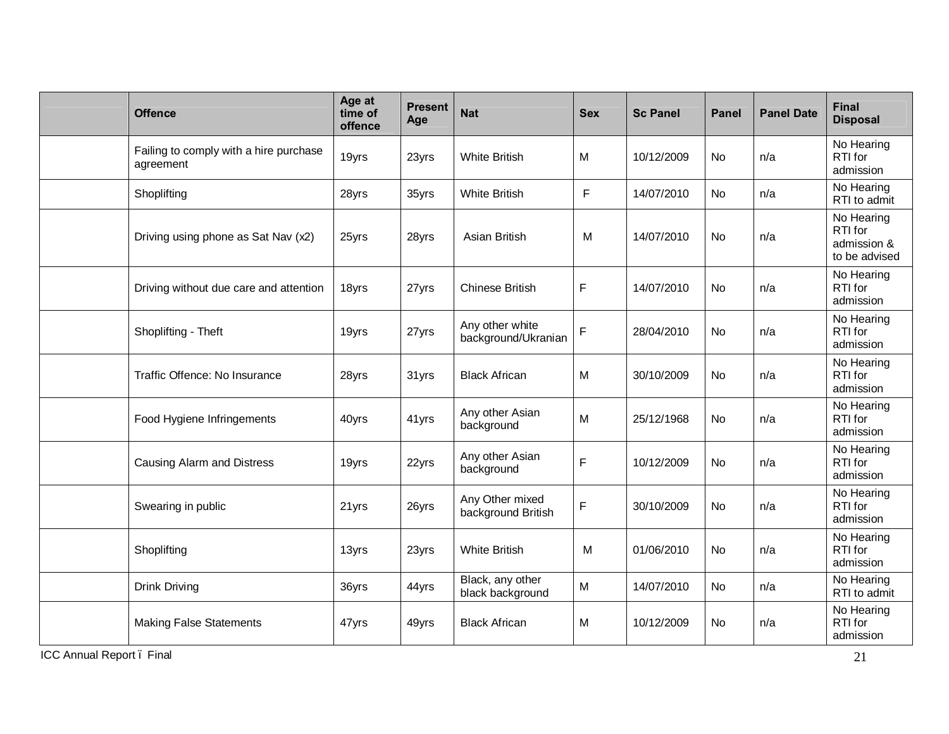| <b>Offence</b>                                      | Age at<br>time of<br>offence | <b>Present</b><br>Age | <b>Nat</b>                             | <b>Sex</b>  | <b>Sc Panel</b> | <b>Panel</b> | <b>Panel Date</b> | <b>Final</b><br><b>Disposal</b>                       |
|-----------------------------------------------------|------------------------------|-----------------------|----------------------------------------|-------------|-----------------|--------------|-------------------|-------------------------------------------------------|
| Failing to comply with a hire purchase<br>agreement | 19yrs                        | 23yrs                 | <b>White British</b>                   | M           | 10/12/2009      | No           | n/a               | No Hearing<br>RTI for<br>admission                    |
| Shoplifting                                         | 28yrs                        | 35yrs                 | <b>White British</b>                   | $\mathsf F$ | 14/07/2010      | <b>No</b>    | n/a               | No Hearing<br>RTI to admit                            |
| Driving using phone as Sat Nav (x2)                 | 25yrs                        | 28yrs                 | Asian British                          | M           | 14/07/2010      | No           | n/a               | No Hearing<br>RTI for<br>admission &<br>to be advised |
| Driving without due care and attention              | 18yrs                        | 27yrs                 | <b>Chinese British</b>                 | $\mathsf F$ | 14/07/2010      | No           | n/a               | No Hearing<br>RTI for<br>admission                    |
| Shoplifting - Theft                                 | 19yrs                        | 27yrs                 | Any other white<br>background/Ukranian | $\mathsf F$ | 28/04/2010      | No           | n/a               | No Hearing<br>RTI for<br>admission                    |
| Traffic Offence: No Insurance                       | 28yrs                        | 31yrs                 | <b>Black African</b>                   | M           | 30/10/2009      | No           | n/a               | No Hearing<br>RTI for<br>admission                    |
| Food Hygiene Infringements                          | 40yrs                        | 41yrs                 | Any other Asian<br>background          | M           | 25/12/1968      | No           | n/a               | No Hearing<br>RTI for<br>admission                    |
| Causing Alarm and Distress                          | 19yrs                        | 22yrs                 | Any other Asian<br>background          | $\mathsf F$ | 10/12/2009      | No           | n/a               | No Hearing<br>RTI for<br>admission                    |
| Swearing in public                                  | 21yrs                        | 26yrs                 | Any Other mixed<br>background British  | $\mathsf F$ | 30/10/2009      | No           | n/a               | No Hearing<br>RTI for<br>admission                    |
| Shoplifting                                         | 13yrs                        | 23yrs                 | <b>White British</b>                   | M           | 01/06/2010      | <b>No</b>    | n/a               | No Hearing<br>RTI for<br>admission                    |
| <b>Drink Driving</b>                                | 36yrs                        | 44yrs                 | Black, any other<br>black background   | M           | 14/07/2010      | No           | n/a               | No Hearing<br>RTI to admit                            |
| <b>Making False Statements</b>                      | 47yrs                        | 49yrs                 | <b>Black African</b>                   | M           | 10/12/2009      | No           | n/a               | No Hearing<br>RTI for<br>admission                    |

ICC Annual Report . Final 21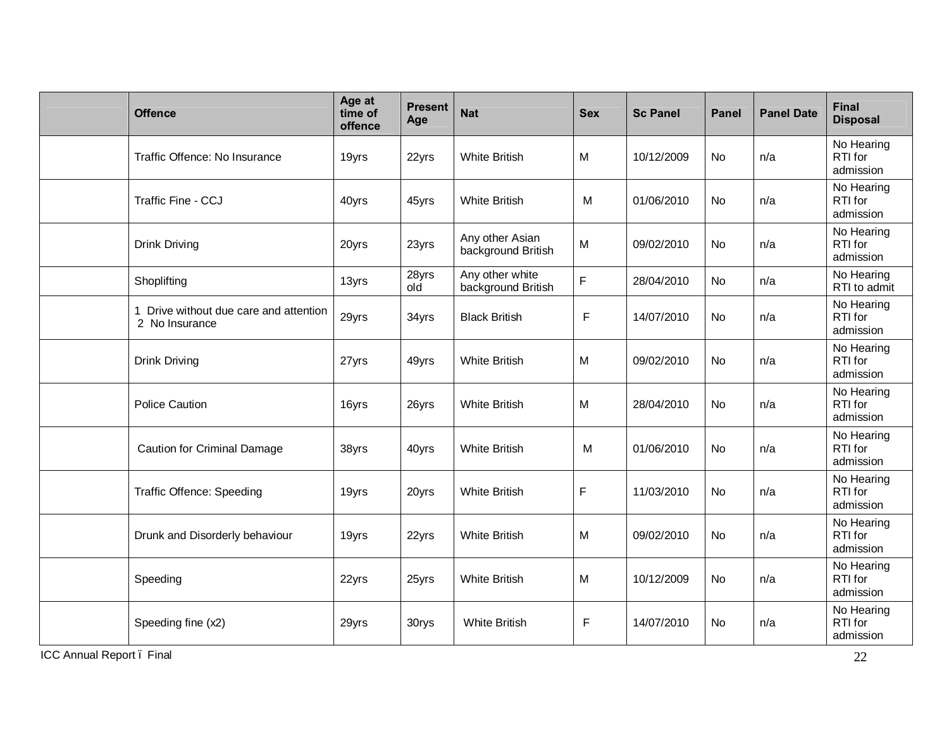| <b>Offence</b>                                               | Age at<br>time of<br>offence | <b>Present</b><br>Age | <b>Nat</b>                            | <b>Sex</b>   | <b>Sc Panel</b> | <b>Panel</b> | <b>Panel Date</b> | <b>Final</b><br><b>Disposal</b>    |
|--------------------------------------------------------------|------------------------------|-----------------------|---------------------------------------|--------------|-----------------|--------------|-------------------|------------------------------------|
| Traffic Offence: No Insurance                                | 19yrs                        | 22yrs                 | <b>White British</b>                  | M            | 10/12/2009      | No           | n/a               | No Hearing<br>RTI for<br>admission |
| Traffic Fine - CCJ                                           | 40yrs                        | 45yrs                 | <b>White British</b>                  | M            | 01/06/2010      | <b>No</b>    | n/a               | No Hearing<br>RTI for<br>admission |
| <b>Drink Driving</b>                                         | 20yrs                        | 23yrs                 | Any other Asian<br>background British | M            | 09/02/2010      | No           | n/a               | No Hearing<br>RTI for<br>admission |
| Shoplifting                                                  | 13yrs                        | 28yrs<br>old          | Any other white<br>background British | $\mathsf F$  | 28/04/2010      | <b>No</b>    | n/a               | No Hearing<br>RTI to admit         |
| Drive without due care and attention<br>1.<br>2 No Insurance | 29yrs                        | 34yrs                 | <b>Black British</b>                  | $\mathsf{F}$ | 14/07/2010      | No           | n/a               | No Hearing<br>RTI for<br>admission |
| <b>Drink Driving</b>                                         | 27yrs                        | 49yrs                 | <b>White British</b>                  | M            | 09/02/2010      | No           | n/a               | No Hearing<br>RTI for<br>admission |
| <b>Police Caution</b>                                        | 16yrs                        | 26yrs                 | <b>White British</b>                  | M            | 28/04/2010      | No           | n/a               | No Hearing<br>RTI for<br>admission |
| <b>Caution for Criminal Damage</b>                           | 38yrs                        | 40yrs                 | <b>White British</b>                  | M            | 01/06/2010      | No           | n/a               | No Hearing<br>RTI for<br>admission |
| <b>Traffic Offence: Speeding</b>                             | 19yrs                        | 20yrs                 | <b>White British</b>                  | $\mathsf F$  | 11/03/2010      | No           | n/a               | No Hearing<br>RTI for<br>admission |
| Drunk and Disorderly behaviour                               | 19yrs                        | 22yrs                 | <b>White British</b>                  | M            | 09/02/2010      | No           | n/a               | No Hearing<br>RTI for<br>admission |
| Speeding                                                     | 22yrs                        | 25yrs                 | <b>White British</b>                  | M            | 10/12/2009      | No           | n/a               | No Hearing<br>RTI for<br>admission |
| Speeding fine (x2)                                           | 29yrs                        | 30rys                 | <b>White British</b>                  | F            | 14/07/2010      | No           | n/a               | No Hearing<br>RTI for<br>admission |

ICC Annual Report . Final 22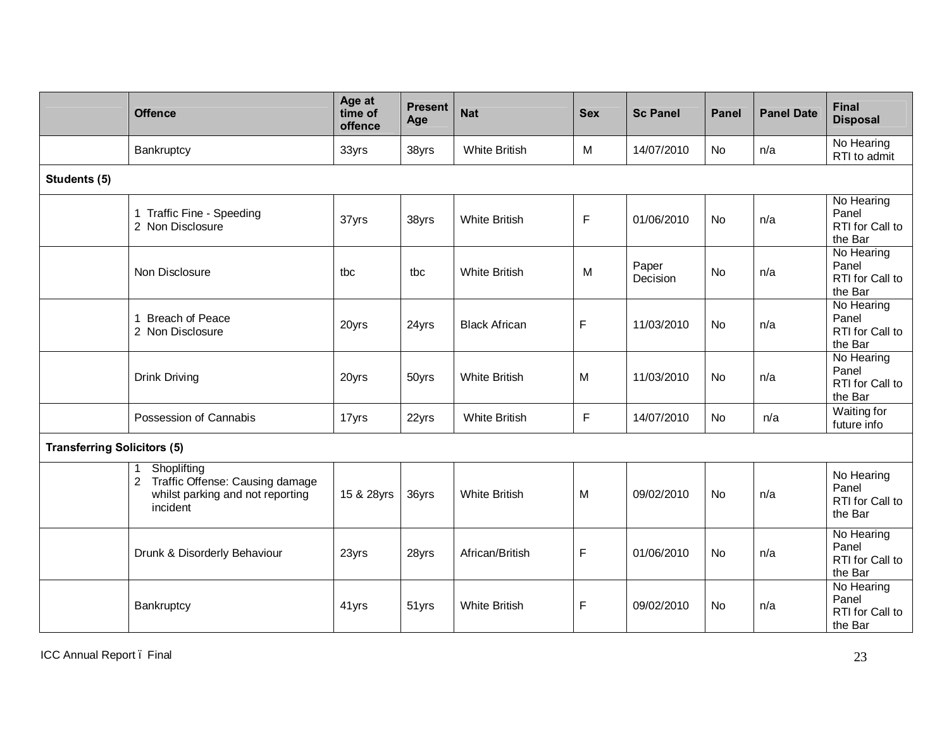|                                    | <b>Offence</b>                                                                                                      | Age at<br>time of<br>offence | <b>Present</b><br>Age | <b>Nat</b>           | <b>Sex</b> | <b>Sc Panel</b>   | <b>Panel</b> | <b>Panel Date</b> | <b>Final</b><br><b>Disposal</b>                   |
|------------------------------------|---------------------------------------------------------------------------------------------------------------------|------------------------------|-----------------------|----------------------|------------|-------------------|--------------|-------------------|---------------------------------------------------|
|                                    | Bankruptcy                                                                                                          | 33yrs                        | 38yrs                 | <b>White British</b> | M          | 14/07/2010        | No           | n/a               | No Hearing<br>RTI to admit                        |
| Students (5)                       |                                                                                                                     |                              |                       |                      |            |                   |              |                   |                                                   |
|                                    | 1 Traffic Fine - Speeding<br>2 Non Disclosure                                                                       | 37yrs                        | 38yrs                 | <b>White British</b> | F          | 01/06/2010        | No           | n/a               | No Hearing<br>Panel<br>RTI for Call to<br>the Bar |
|                                    | Non Disclosure                                                                                                      | tbc                          | tbc                   | <b>White British</b> | M          | Paper<br>Decision | <b>No</b>    | n/a               | No Hearing<br>Panel<br>RTI for Call to<br>the Bar |
|                                    | 1 Breach of Peace<br>2 Non Disclosure                                                                               | 20yrs                        | 24yrs                 | <b>Black African</b> | F          | 11/03/2010        | No           | n/a               | No Hearing<br>Panel<br>RTI for Call to<br>the Bar |
|                                    | <b>Drink Driving</b>                                                                                                | 20yrs                        | 50yrs                 | <b>White British</b> | M          | 11/03/2010        | No           | n/a               | No Hearing<br>Panel<br>RTI for Call to<br>the Bar |
|                                    | Possession of Cannabis                                                                                              | 17yrs                        | 22yrs                 | <b>White British</b> | F          | 14/07/2010        | No           | n/a               | Waiting for<br>future info                        |
| <b>Transferring Solicitors (5)</b> |                                                                                                                     |                              |                       |                      |            |                   |              |                   |                                                   |
|                                    | Shoplifting<br>1<br>Traffic Offense: Causing damage<br>$\mathbf{2}$<br>whilst parking and not reporting<br>incident | 15 & 28yrs                   | 36yrs                 | <b>White British</b> | M          | 09/02/2010        | No           | n/a               | No Hearing<br>Panel<br>RTI for Call to<br>the Bar |
|                                    | Drunk & Disorderly Behaviour                                                                                        | 23yrs                        | 28yrs                 | African/British      | F          | 01/06/2010        | No           | n/a               | No Hearing<br>Panel<br>RTI for Call to<br>the Bar |
|                                    | Bankruptcy                                                                                                          | 41yrs                        | 51yrs                 | <b>White British</b> | F          | 09/02/2010        | No           | n/a               | No Hearing<br>Panel<br>RTI for Call to<br>the Bar |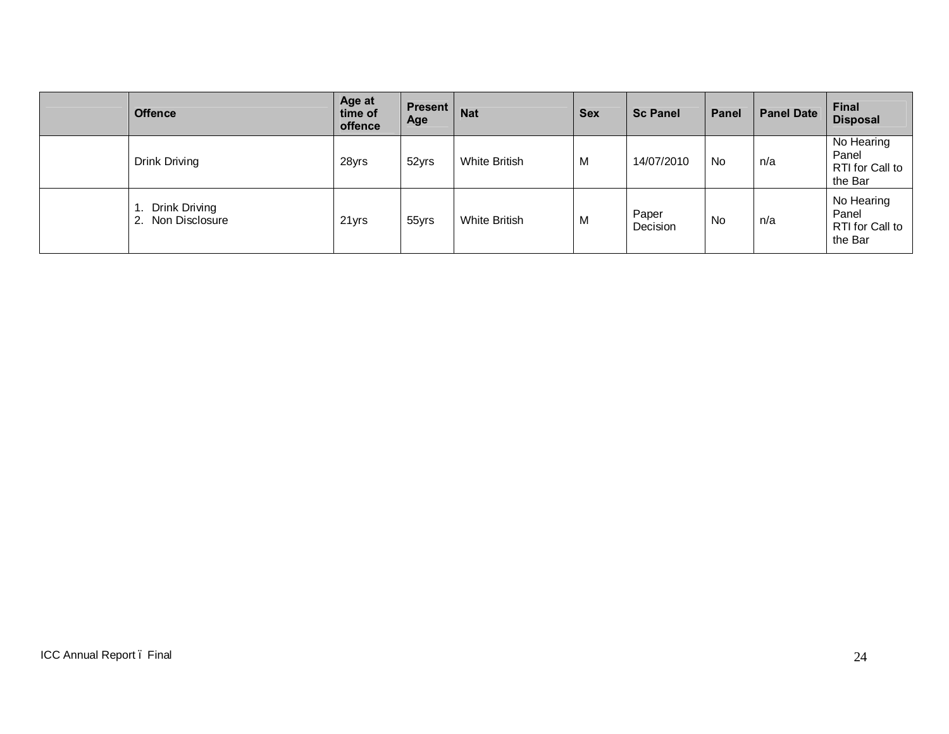| <b>Offence</b>                        | Age at<br>time of<br>offence | <b>Present</b><br>Age | <b>Nat</b>    | <b>Sex</b> | <b>Sc Panel</b>   | Panel | <b>Panel Date</b> | Final<br><b>Disposal</b>                          |
|---------------------------------------|------------------------------|-----------------------|---------------|------------|-------------------|-------|-------------------|---------------------------------------------------|
| <b>Drink Driving</b>                  | 28yrs                        | 52yrs                 | White British | M          | 14/07/2010        | No    | n/a               | No Hearing<br>Panel<br>RTI for Call to<br>the Bar |
| Drink Driving<br>Non Disclosure<br>2. | 21yrs                        | 55yrs                 | White British | M          | Paper<br>Decision | No    | n/a               | No Hearing<br>Panel<br>RTI for Call to<br>the Bar |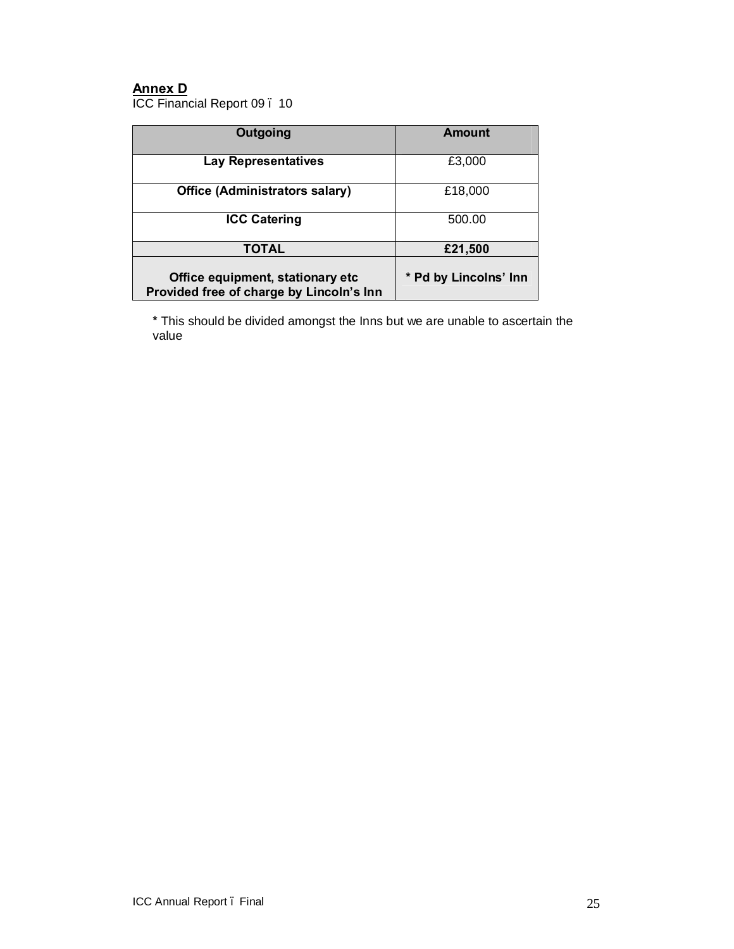## **Annex D**

ICC Financial Report 09 . 10

| Outgoing                                                                     | <b>Amount</b>         |
|------------------------------------------------------------------------------|-----------------------|
| <b>Lay Representatives</b>                                                   | £3,000                |
| <b>Office (Administrators salary)</b>                                        | £18,000               |
| <b>ICC Catering</b>                                                          | 500.00                |
| TOTAL                                                                        | £21,500               |
| Office equipment, stationary etc<br>Provided free of charge by Lincoln's Inn | * Pd by Lincolns' Inn |

**\*** This should be divided amongst the Inns but we are unable to ascertain the value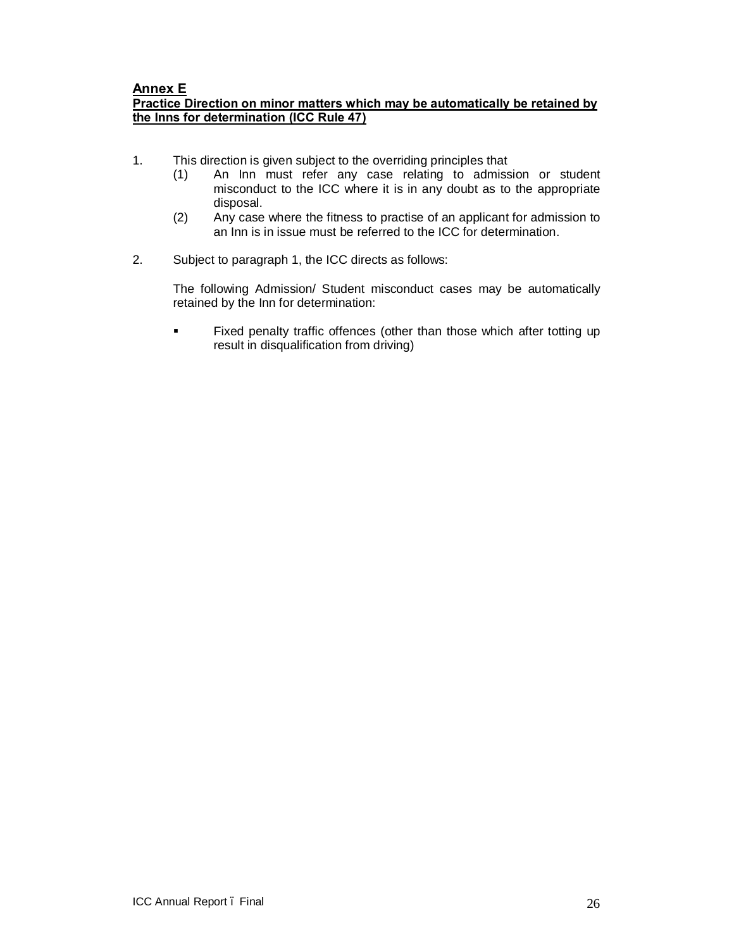## **Annex E**

## **Practice Direction on minor matters which may be automatically be retained by the Inns for determination (ICC Rule 47)**

- 1. This direction is given subject to the overriding principles that
	- (1) An Inn must refer any case relating to admission or student misconduct to the ICC where it is in any doubt as to the appropriate disposal.
	- (2) Any case where the fitness to practise of an applicant for admission to an Inn is in issue must be referred to the ICC for determination.
- 2. Subject to paragraph 1, the ICC directs as follows:

The following Admission/ Student misconduct cases may be automatically retained by the Inn for determination:

**Fixed penalty traffic offences (other than those which after totting up** result in disqualification from driving)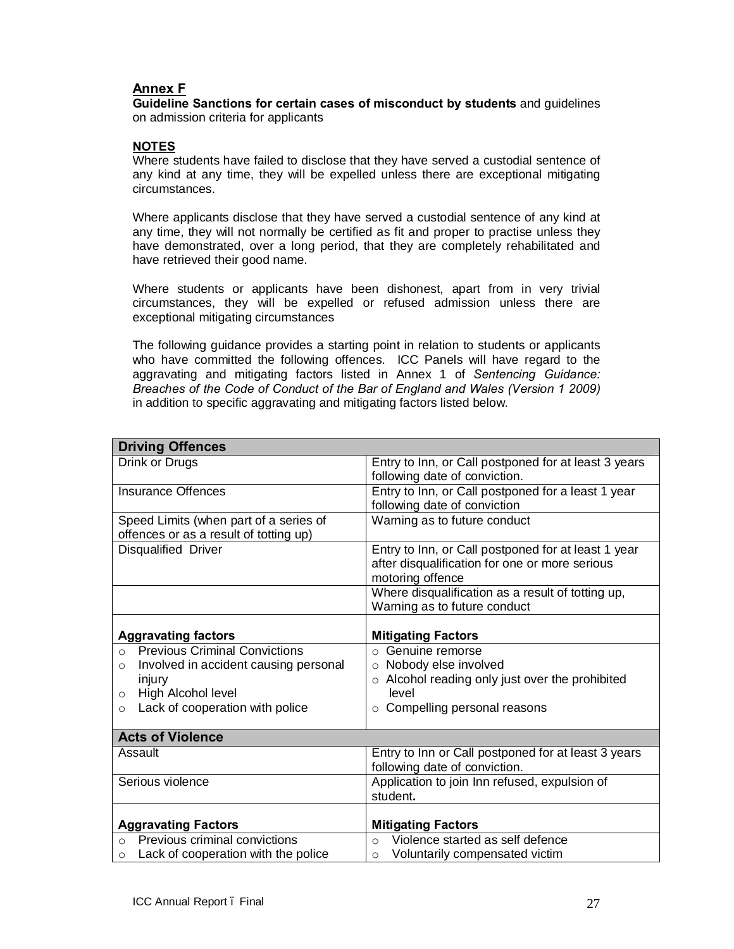## **Annex F**

**Guideline Sanctions for certain cases of misconduct by students** and guidelines on admission criteria for applicants

#### **NOTES**

Where students have failed to disclose that they have served a custodial sentence of any kind at any time, they will be expelled unless there are exceptional mitigating circumstances.

Where applicants disclose that they have served a custodial sentence of any kind at any time, they will not normally be certified as fit and proper to practise unless they have demonstrated, over a long period, that they are completely rehabilitated and have retrieved their good name.

Where students or applicants have been dishonest, apart from in very trivial circumstances, they will be expelled or refused admission unless there are exceptional mitigating circumstances

The following guidance provides a starting point in relation to students or applicants who have committed the following offences. ICC Panels will have regard to the aggravating and mitigating factors listed in Annex 1 of *Sentencing Guidance: Breaches of the Code of Conduct of the Bar of England and Wales (Version 1 2009)* in addition to specific aggravating and mitigating factors listed below.

| <b>Driving Offences</b>                          |                                                      |
|--------------------------------------------------|------------------------------------------------------|
| Drink or Drugs                                   | Entry to Inn, or Call postponed for at least 3 years |
|                                                  | following date of conviction.                        |
| Insurance Offences                               | Entry to Inn, or Call postponed for a least 1 year   |
|                                                  | following date of conviction                         |
| Speed Limits (when part of a series of           | Warning as to future conduct                         |
| offences or as a result of totting up)           |                                                      |
| Disqualified Driver                              | Entry to Inn, or Call postponed for at least 1 year  |
|                                                  | after disqualification for one or more serious       |
|                                                  | motoring offence                                     |
|                                                  | Where disqualification as a result of totting up,    |
|                                                  | Warning as to future conduct                         |
|                                                  |                                                      |
| <b>Aggravating factors</b>                       | <b>Mitigating Factors</b>                            |
| <b>Previous Criminal Convictions</b><br>$\Omega$ | $\circ$ Genuine remorse                              |
| Involved in accident causing personal<br>$\circ$ | o Nobody else involved                               |
| injury                                           | o Alcohol reading only just over the prohibited      |
| High Alcohol level<br>$\circ$                    | level                                                |
| Lack of cooperation with police<br>$\circ$       | Compelling personal reasons<br>$\circ$               |
|                                                  |                                                      |
| <b>Acts of Violence</b>                          |                                                      |
| Assault                                          | Entry to Inn or Call postponed for at least 3 years  |
|                                                  | following date of conviction.                        |
| Serious violence                                 | Application to join Inn refused, expulsion of        |
|                                                  | student.                                             |
|                                                  |                                                      |
| <b>Aggravating Factors</b>                       | <b>Mitigating Factors</b>                            |
| Previous criminal convictions<br>$\cap$          | Violence started as self defence<br>$\Omega$         |
| Lack of cooperation with the police<br>O         | Voluntarily compensated victim<br>$\circ$            |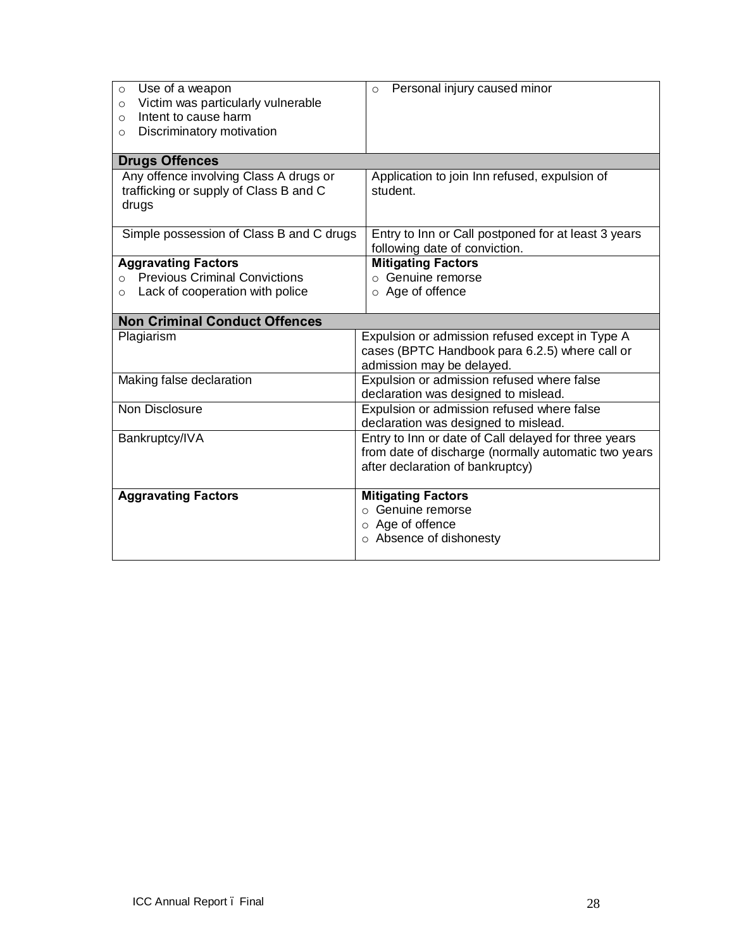| Use of a weapon<br>$\circ$<br>Victim was particularly vulnerable<br>$\Omega$<br>Intent to cause harm<br>$\Omega$<br>Discriminatory motivation<br>O | Personal injury caused minor<br>$\circ$                                                                                                          |
|----------------------------------------------------------------------------------------------------------------------------------------------------|--------------------------------------------------------------------------------------------------------------------------------------------------|
|                                                                                                                                                    |                                                                                                                                                  |
| <b>Drugs Offences</b>                                                                                                                              |                                                                                                                                                  |
| Any offence involving Class A drugs or<br>trafficking or supply of Class B and C<br>drugs                                                          | Application to join Inn refused, expulsion of<br>student.                                                                                        |
| Simple possession of Class B and C drugs                                                                                                           | Entry to Inn or Call postponed for at least 3 years<br>following date of conviction.                                                             |
| <b>Aggravating Factors</b>                                                                                                                         | <b>Mitigating Factors</b>                                                                                                                        |
| <b>Previous Criminal Convictions</b><br>$\Omega$                                                                                                   | $\circ$ Genuine remorse                                                                                                                          |
| Lack of cooperation with police<br>$\circ$                                                                                                         | $\circ$ Age of offence                                                                                                                           |
| <b>Non Criminal Conduct Offences</b>                                                                                                               |                                                                                                                                                  |
| Plagiarism                                                                                                                                         | Expulsion or admission refused except in Type A<br>cases (BPTC Handbook para 6.2.5) where call or<br>admission may be delayed.                   |
| Making false declaration                                                                                                                           | Expulsion or admission refused where false<br>declaration was designed to mislead.                                                               |
| Non Disclosure                                                                                                                                     | Expulsion or admission refused where false<br>declaration was designed to mislead.                                                               |
| Bankruptcy/IVA                                                                                                                                     | Entry to Inn or date of Call delayed for three years<br>from date of discharge (normally automatic two years<br>after declaration of bankruptcy) |
| <b>Aggravating Factors</b>                                                                                                                         | <b>Mitigating Factors</b><br>o Genuine remorse<br>$\circ$ Age of offence<br>○ Absence of dishonesty                                              |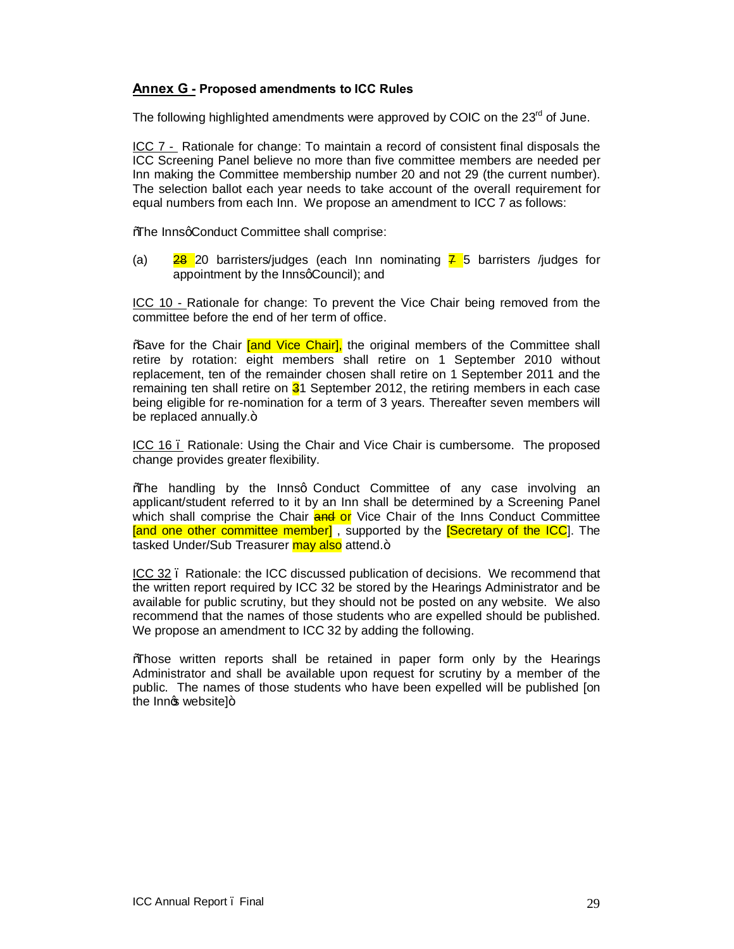## **Annex G - Proposed amendments to ICC Rules**

The following highlighted amendments were approved by COIC on the 23<sup>rd</sup> of June.

ICC 7 - Rationale for change: To maintain a record of consistent final disposals the ICC Screening Panel believe no more than five committee members are needed per Inn making the Committee membership number 20 and not 29 (the current number). The selection ballot each year needs to take account of the overall requirement for equal numbers from each Inn. We propose an amendment to ICC 7 as follows:

%The InnsqConduct Committee shall comprise:

(a) **28** 20 barristers/judges (each Inn nominating  $\overline{7}$  5 barristers /judges for appointment by the InnsqCouncil); and

ICC 10 - Rationale for change: To prevent the Vice Chair being removed from the committee before the end of her term of office.

**%** ave for the Chair *[and Vice Chair]*, the original members of the Committee shall retire by rotation: eight members shall retire on 1 September 2010 without replacement, ten of the remainder chosen shall retire on 1 September 2011 and the remaining ten shall retire on  $31$  September 2012, the retiring members in each case being eligible for re-nomination for a term of 3 years. Thereafter seven members will be replaced annually. $+$ 

ICC 16 – Rationale: Using the Chair and Vice Chair is cumbersome. The proposed change provides greater flexibility.

Whe handling by the Innsg Conduct Committee of any case involving an applicant/student referred to it by an Inn shall be determined by a Screening Panel which shall comprise the Chair **and or** Vice Chair of the Inns Conduct Committee [and one other committee member], supported by the **[Secretary of the ICC**]. The tasked Under/Sub Treasurer may also attend.+

ICC 32. Rationale: the ICC discussed publication of decisions. We recommend that the written report required by ICC 32 be stored by the Hearings Administrator and be available for public scrutiny, but they should not be posted on any website. We also recommend that the names of those students who are expelled should be published. We propose an amendment to ICC 32 by adding the following.

"Those written reports shall be retained in paper form only by the Hearings Administrator and shall be available upon request for scrutiny by a member of the public. The names of those students who have been expelled will be published [on the Innet website] $+$